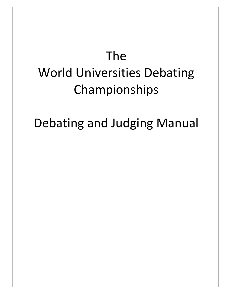# The World Universities Debating Championships

Debating and Judging Manual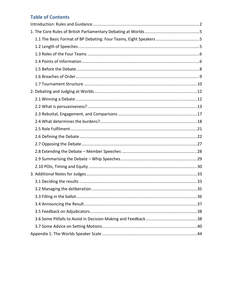# **Table of Contents**

| 1.1 The Basic Format of BP Debating: Four Teams, Eight Speakers 5 |  |
|-------------------------------------------------------------------|--|
|                                                                   |  |
|                                                                   |  |
|                                                                   |  |
|                                                                   |  |
|                                                                   |  |
|                                                                   |  |
|                                                                   |  |
|                                                                   |  |
|                                                                   |  |
|                                                                   |  |
|                                                                   |  |
|                                                                   |  |
|                                                                   |  |
|                                                                   |  |
|                                                                   |  |
|                                                                   |  |
|                                                                   |  |
|                                                                   |  |
|                                                                   |  |
|                                                                   |  |
|                                                                   |  |
|                                                                   |  |
|                                                                   |  |
|                                                                   |  |
|                                                                   |  |
|                                                                   |  |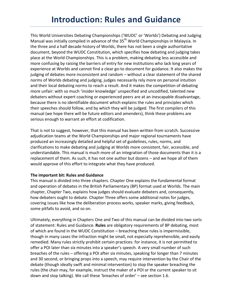This World Universities Debating Championships ('WUDC' or 'Worlds') Debating and Judging Manual was initially compiled in advance of the  $35<sup>th</sup>$  World Championships in Malaysia. In the three and a half decade history of Worlds, there has not been a single authoritative document, beyond the WUDC Constitution, which specifies how debating and judging takes place at the World Championships. This is a problem, making debating less accessible and more confusing by raising the barriers of entry for new institutions who lack long years of experience at Worlds and cannot find a clear go-to document for guidance. It also makes the judging of debates more inconsistent and random – without a clear statement of the shared norms of Worlds debating and judging, judges necessarily rely more on personal intuition and their local debating norms to reach a result. And it makes the competition of debating more unfair: with so much 'insider knowledge' unspecified and uncodified, talented new debaters without expert coaching or experienced peers are at an inescapable disadvantage, because there is no identifiable document which explains the rules and principles which their speeches should follow, and by which they will be judged. The first compilers of this manual (we hope there will be future editors and amenders), think these problems are serious enough to warrant an effort at codification.

That is not to suggest, however, that this manual has been written from scratch. Successive adjudication teams at the World Championships and major regional tournaments have produced an increasingly detailed and helpful set of guidelines, rules, norms, and clarifications to make debating and judging at Worlds more consistent, fair, accessible, and understandable. This manual is much more of an integration of those documents than it is a replacement of them. As such, it has not one author but dozens – and we hope all of them would approve of this effort to integrate what they have produced.

#### **The important bit: Rules and Guidance**

This manual is divided into three chapters. Chapter One explains the fundamental format and operation of debates in the British Parliamentary (BP) format used at Worlds. The main chapter, Chapter Two, explains how judges should evaluate debaters and, consequently, how debaters ought to debate. Chapter Three offers some additional notes for judges, covering issues like how the deliberation process works, speaker marks, giving feedback, some pitfalls to avoid, and so on.

Ultimately, everything in Chapters One and Two of this manual can be divided into two sorts of statement: Rules and Guidance. **Rules** are obligatory requirements of BP debating, most of which are found in the WUDC Constitution – breaching these rules is impermissible, though in many cases the infraction might be small, not especially reprehensible, and easily remedied. Many rules strictly prohibit certain practices: for instance, it is not permitted to offer a POI later than six minutes into a speaker's speech. A very small number of such breaches of the rules – offering a POI after six minutes, speaking for longer than 7 minutes and 30 second, or bringing props into a speech, may require intervention by the Chair of the debate (though ideally swift and minimal intervention) to stop the speaker breaching the rules (the chair may, for example, instruct the maker of a POI or the current speaker to sit down and stop talking). We call these 'breaches of order' – see section 1.6.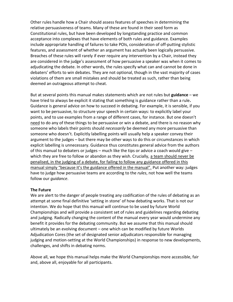Other rules handle how a Chair should assess features of speeches in determining the relative persuasiveness of teams. Many of these are found in their seed form as Constitutional rules, but have been developed by longstanding practice and common acceptance into complexes that have elements of both rules and guidance. Examples include appropriate handling of failures to take POIs, consideration of off-putting stylistic features, and assessment of whether an argument has actually been logically persuasive. Breaches of these rules will rarely if ever require any intervention by a Chair, instead they are considered in the judge's assessment of how persuasive a speaker was when it comes to adjudicating the debate. In other words, the rules specify what can and cannot be done in debaters' efforts to win debates. They are not optional, though in the vast majority of cases violations of them are small mistakes and should be treated as such, rather than being deemed an outrageous attempt to cheat.

But at several points this manual makes statements which are not rules but **guidance** – we have tried to always be explicit it stating that something is guidance rather than a rule**.** Guidance is general advice on how to succeed in debating. For example, it is sensible, if you want to be persuasive, to structure your speech in certain ways: to explicitly label your points, and to use examples from a range of different cases, for instance. But one doesn't need to do any of these things to be persuasive or win a debate, and there is no reason why someone who labels their points should *necessarily* be deemed any more persuasive than someone who doesn't. Explicitly labelling points will usually help a speaker convey their argument to the judges – but there may be other ways to do this or circumstances in which explicit labelling is unnecessary. Guidance thus constitutes general advice from the authors of this manual to debaters or judges – much like the tips or advice a coach would give – which they are free to follow or abandon as they wish. Crucially, a team should never be penalised, in the judging of a debate, for failing to follow any guidance offered in this manual simply "because it's the guidance offered in the manual". Put another way: judges have to judge how persuasive teams are according to the *rules*, not how well the teams follow our *guidance*.

#### **The Future**

We are alert to the danger of people treating any codification of the rules of debating as an attempt at some final definitive 'setting in stone' of how debating works. That is not our intention. We do hope that this manual will continue to be used by future World Championships and will provide a consistent set of rules and guidelines regarding debating and judging. Radically changing the content of the manual every year would undermine any benefit it provides for the debating community. But we assume that this manual should ultimately be an evolving document – one which can be modified by future Worlds Adjudication Cores (the set of designated senior adjudicators responsible for managing judging and motion-setting at the World Championships) in response to new developments, challenges, and shifts in debating norms.

Above all, we hope this manual helps make the World Championships more accessible, fair and, above all, enjoyable for all participants.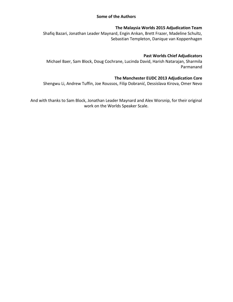#### **Some of the Authors**

#### **The Malaysia Worlds 2015 Adjudication Team**

Shafiq Bazari, Jonathan Leader Maynard, Engin Arıkan, Brett Frazer, Madeline Schultz, Sebastian Templeton, Danique van Koppenhagen

#### **Past Worlds Chief Adjudicators**

Michael Baer, Sam Block, Doug Cochrane, Lucinda David, Harish Natarajan, Sharmila Parmanand

#### **The Manchester EUDC 2013 Adjudication Core**

Shengwu Li, Andrew Tuffin, Joe Roussos, Filip Dobranić, Dessislava Kirova, Omer Nevo

And with thanks to Sam Block, Jonathan Leader Maynard and Alex Worsnip, for their original work on the Worlds Speaker Scale.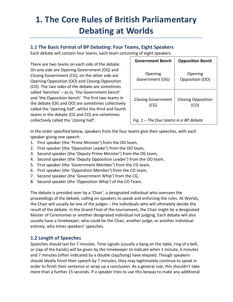# **1. The Core Rules of British Parliamentary Debating at Worlds**

# **1.1 The Basic Format of BP Debating: Four Teams, Eight Speakers**

Each debate will contain four teams, each team consisting of eight speakers.

There are two teams on each side of the debate. On one side are Opening Government (OG) and Closing Government (CG), on the other side are Opening Opposition (OO) and Closing Opposition (CO). The two sides of the debate are sometimes called 'benches' – as in, 'the Government bench' and 'the Opposition bench'. The first two teams in the debate (OG and OO) are sometimes collectively called the 'opening half', whilst the third and fourth teams in the debate (CG and CO) are sometimes collectively called the 'closing half'.

| <b>Government Bench</b>                  | <b>Opposition Bench</b>   |
|------------------------------------------|---------------------------|
| Opening                                  | Opening                   |
| Government (OG)                          | Opposition (OO)           |
| <b>Closing Government</b>                | <b>Closing Opposition</b> |
| (CG)                                     | (CO)                      |
| Fig. $1$ – The four teams in a BP debate |                           |

In the order specified below, speakers from the four teams give their speeches, with each speaker giving one speech:

- 1. First speaker (the 'Prime Minister') from the OG team,
- 2. First speaker (the 'Opposition Leader') from the OO team,
- 3. Second speaker (the 'Deputy Prime Minister') from the OG team,
- 4. Second speaker (the 'Deputy Opposition Leader') from the OO team,
- 5. First speaker (the 'Government Member') from the CG team,
- 6. First speaker (the 'Opposition Member') from the CO team,
- 7. Second speaker (the 'Government Whip') from the CG,
- 8. Second speaker (the 'Opposition Whip') of the CO Team.

The debate is presided over by a 'Chair', a designated individual who oversees the proceedings of the debate, calling on speakers to speak and enforcing the rules. At Worlds, the Chair will usually be one of the judges – the individuals who will ultimately decide the result of the debate. In the Grand Final of the tournament, the Chair might be a designated Master of Ceremonies or another designated individual not judging. Each debate will also usually have a timekeeper, who could be the Chair, another judge, or another individual entirely, who times speakers' speeches.

# **1.2 Length of Speeches**

Speeches should last for 7 minutes. Time signals (usually a bang on the table, ring of a bell, or clap of the hands) will be given by the timekeeper to indicate when 1 minute, 6 minutes and 7 minutes (often indicated by a double clap/bang) have elapsed. Though speakers should ideally finish their speech by 7 minutes, they may legitimately continue to speak in order to finish their sentence or wrap up a conclusion. As a general rule, this shouldn't take more than a further 15 seconds. If a speaker tries to use this leeway to make any additional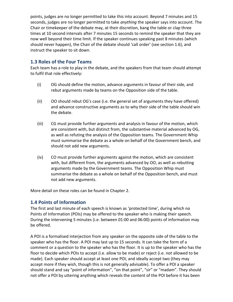points, judges are no longer permitted to take this into account. Beyond 7 minutes and 15 seconds, judges are no longer permitted to take *anything* the speaker says into account. The Chair or timekeeper of the debate may, at their discretion, bang the table or clap three times at 10 second intervals after 7 minutes 15 seconds to remind the speaker that they are now well beyond their time limit. If the speaker continues speaking past 8 minutes (which should never happen), the Chair of the debate should 'call order' (see section 1.6), and instruct the speaker to sit down.

# **1.3 Roles of the Four Teams**

Each team has a role to play in the debate, and the speakers from that team should attempt to fulfil that role effectively:

- (i) OG should define the motion, advance arguments in favour of their side, and rebut arguments made by teams on the Opposition side of the table.
- (ii) OO should rebut OG's case (i.e. the general set of arguments they have offered) and advance constructive arguments as to why their side of the table should win the debate.
- (iii) CG must provide further arguments and analysis in favour of the motion, which are consistent with, but distinct from, the substantive material advanced by OG, as well as refuting the analysis of the Opposition teams. The Government Whip must summarise the debate as a whole on behalf of the Government bench, and should not add new arguments.
- (iv) CO must provide further arguments against the motion, which are consistent with, but different from, the arguments advanced by OO, as well as rebutting arguments made by the Government teams. The Opposition Whip must summarise the debate as a whole on behalf of the Opposition bench, and must not add new arguments.

More detail on these roles can be found in Chapter 2.

# **1.4 Points of Information**

The first and last minute of each speech is known as 'protected time', during which no Points of Information (POIs) may be offered to the speaker who is making their speech. During the intervening 5 minutes (i.e. between 01:00 and 06:00) points of information may be offered.

A POI is a formalised interjection from any speaker on the opposite side of the table to the speaker who has the floor. A POI may last up to 15 seconds. It can take the form of a comment or a question to the speaker who has the floor. It is up to the speaker who has the floor to decide which POIs to accept (i.e. allow to be made) or reject (i.e. not allowed to be made). Each speaker should accept at least one POI, and ideally accept two (they may accept more if they wish, though this is not generally advisable). To offer a POI a speaker should stand and say "point of information", "on that point", "sir" or "madam". They should not offer a POI by uttering anything which reveals the content of the POI before it has been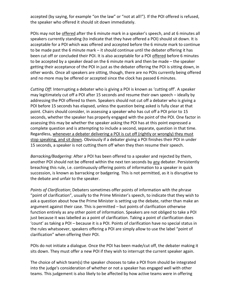accepted (by saying, for example "on the law" or "not at all!"). If the POI offered is refused, the speaker who offered it should sit down immediately.

POIs may not be offered after the 6 minute mark in a speaker's speech, and at 6 minutes all speakers currently standing (to indicate that they have offered a POI) should sit down. It is acceptable for a POI which was offered and accepted before the 6 minute mark to continue to be made past the 6 minute mark – it should continue until the debater offering it has been cut off or concluded their POI. It is also acceptable for a POI offered before 6 minutes to be accepted by a speaker dead on the 6 minute mark and then be made – the speaker getting their acceptance of the POI in just as the debater offering the POI is sitting down, in other words. Once all speakers are sitting, though, there are no POIs currently being offered and no more may be offered or accepted since the clock has passed 6 minutes.

*Cutting Off:* Interrupting a debater who is giving a POI is known as 'cutting off'. A speaker may legitimately cut off a POI after 15 seconds and resume their own speech – ideally by addressing the POI offered to them. Speakers should not cut off a debater who is giving a POI before 15 seconds has elapsed, unless the question being asked is fully clear at that point. Chairs should consider, in assessing a speaker who has cut off a POI prior to 15 seconds, whether the speaker has properly engaged with the point of the POI. One factor in assessing this may be whether the speaker asking the POI has at this point expressed a complete question and is attempting to include a second, separate, question in that time. Regardless, whenever a debater delivering a POI is cut off (rightly or wrongly) they must stop speaking, and sit down. Obviously if a debater giving a POI finishes their POI in under 15 seconds, a speaker is not cutting them off when they then resume their speech.

*Barracking/Badgering*: After a POI has been offered to a speaker and rejected by them, another POI should not be offered within the next ten seconds by any debater. Persistently breaching this rule, i.e. continuously offering points of information to a speaker in quick succession, is known as barracking or badgering. This is not permitted, as it is disruptive to the debate and unfair to the speaker.

*Points of Clarification*: Debaters sometimes offer points of information with the phrase "point of clarification", usually to the Prime Minister's speech, to indicate that they wish to ask a question about how the Prime Minister is setting up the debate, rather than make an argument against their case. This is permitted – but points of clarification otherwise function entirely as any other point of information. Speakers are not obliged to take a POI just because it was labelled as a point of clarification. Taking a point of clarification does 'count' as taking a POI – because it is a POI. Points of clarification have no special status in the rules whatsoever, speakers offering a POI are simply allow to use the label "point of clarification" when offering their POI.

POIs do not initiate a dialogue. Once the POI has been made/cut off, the debater making it sits down. They must offer a new POI if they wish to interrupt the current speaker again.

The choice of which team(s) the speaker chooses to take a POI from should be integrated into the judge's consideration of whether or not a speaker has engaged well with other teams. This judgement is also likely to be affected by how active teams were in offering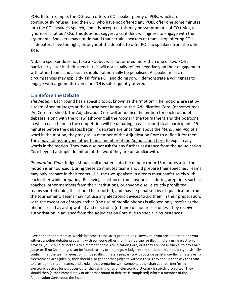POIs. If, for example, the OG team offers a CO speaker plenty of POIs, which are continuously refused, and then CG, who have not offered any POIs, offer one some minutes into the CO speaker's speech, and it is accepted, this may be symptomatic of CO trying to ignore or 'shut out' OG. This does not suggest a confident willingness to engage with their arguments. Speakers may not demand that certain speakers or teams stop offering POIs – all debaters have the right, throughout the debate, to offer POIs to speakers from the other side.

N.B. If a speaker does not take a POI but was not offered more than one or two POIs, particularly later in their speech, this will not usually reflect negatively on their engagement with other teams and as such should not normally be penalised. A speaker in such circumstances may explicitly ask for a POI, and doing so will demonstrate a willingness to engage with arguments even if no POI is subsequently offered.

# **1.5 Before the Debate**

 $\overline{a}$ 

*The Motion:* Each round has a specific topic, known as the 'motion'. The motions are set by a team of senior judges at the tournament known as the 'Adjudication Core' (or sometimes 'AdjCore' for short)*.* The Adjudication Core will announce the motion for each round of debates, along with the 'draw' (showing all the rooms in the tournament and the positions in which each team in the competition will be debating in each room) to all participants 15 minutes before the debates begin. If debaters are uncertain about the *literal meaning* of a word in the motion, they may ask a member of the Adjudication Core to define it for them. They may not ask anyone other than a member of the Adjudication Core to explain any words in the motion. They may also not ask for any further assistance from the Adjudication Core beyond a simple definition of the word they are unfamiliar with.

*Preparation Time:* Judges should call debaters into the debate room 15 minutes after the motion is announced. During these 15 minutes teams should prepare their speeches. Teams may only prepare in their teams – i.e. the two speakers in a team must confer solely with each other while preparing. Receiving assistance from anyone else during prep time, such as coaches, other members from their institutions, or anyone else, is strictly prohibited – teams spotted doing this should be reported, and may be penalised by disqualification from the tournament. Teams may not use any electronic devices to aid them in their preparation, with the exception of stopwatches (the use of mobile phones is allowed only insofar as the phone is used as a stopwatch) and electronic (off-line) dictionaries – unless they receive authorisation in advance from the Adjudication Core due to special circumstances. $1$ 

 $<sup>1</sup>$  We hope that no team at Worlds breaches these strict prohibitions. However, if you are a debater, and you</sup> witness another debater preparing with someone other than their partner or illegitimately using electronic devices, you should report this to a member of the Adjudication Core, or if they are not available, to any Chair judge or, if no Chair judges can be found, to any other judge. A judge informed about this should try to visually confirm that the team in question is indeed illegitimately preparing with outside assistance/illegitimately using electronic devices (ideally, they should also get another judge to witness this). They should then ask the team to provide their team name, and explain that preparing with someone other than your partner/using electronic devices for purposes other than timing or as an electronic dictionary is strictly prohibited. They should then (either immediately or after that round of debates is completed) inform a member of the Adjudication Core about the issue.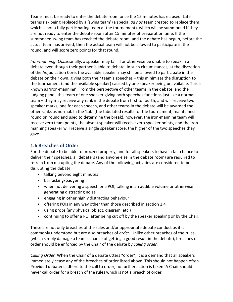Teams must be ready to enter the debate room once the 15 minutes has elapsed. Late teams risk being replaced by a 'swing team' (a special *ad hoc* team created to replace them, which is not a fully participating team at the tournament), which will be summoned if they are not ready to enter the debate room after 15 minutes of preparation time. If the summoned swing team has reached the debate room, and the debate has begun, before the actual team has arrived, then the actual team will not be allowed to participate in the round, and will score zero points for that round.

*Iron-manning:* Occasionally, a speaker may fall ill or otherwise be unable to speak in a debate even though their partner is able to debate. In such circumstances, at the discretion of the Adjudication Core, the available speaker may still be allowed to participate in the debate on their own, giving both their team's speeches – this minimises the disruption to the tournament (and the available speaker) caused by one speaker being unavailable. This is known as 'iron-manning'. From the perspective of other teams in the debate, and the judging panel, this team of one speaker giving both speeches functions just like a normal team – they may receive any rank in the debate from first to fourth, and will receive two speaker marks, one for each speech, and other teams in the debate will be awarded the other ranks as normal. In the 'tab' (the tabulated results for the tournament, maintained round on round and used to determine the break), however, the iron-manning team will receive zero team points, the absent speaker will receive zero speaker points, and the ironmanning speaker will receive a single speaker score, the higher of the two speeches they gave.

# **1.6 Breaches of Order**

For the debate to be able to proceed properly, and for all speakers to have a fair chance to deliver their speeches, all debaters (and anyone else in the debate room) are required to refrain from disrupting the debate. Any of the following activities are considered to be disrupting the debate:

- talking beyond eight minutes
- barracking/badgering
- when not delivering a speech or a POI, talking in an audible volume or otherwise generating distracting noise
- engaging in other highly distracting behaviour
- offering POIs in any way other than those described in section 1.4
- using props (any physical object, diagram, etc.)
- continuing to offer a POI after being cut off by the speaker speaking or by the Chair.

These are not only breaches of the rules and/or appropriate debate conduct as it is commonly understood but are also breaches of *order*. Unlike other breaches of the rules (which simply damage a team's chance of getting a good result in the debate), breaches of order should be enforced by the Chair of the debate by *calling order.*

*Calling Order:* When the Chair of a debate utters "order", it is a demand that all speakers immediately cease any of the breaches of order listed above. This should not happen often. Provided debaters adhere to the call to order, no further action is taken. A Chair should never call order for a breach of the rules which is not a breach of order.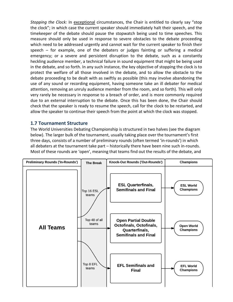*Stopping the Clock:* In exceptional circumstances, the Chair is entitled to clearly say "stop the clock"; in which case the current speaker should immediately halt their speech, and the timekeeper of the debate should pause the stopwatch being used to time speeches. This measure should only be used in response to severe obstacles to the debate proceeding which need to be addressed urgently and cannot wait for the current speaker to finish their speech – for example, one of the debaters or judges fainting or suffering a medical emergency; or a severe and persistent disruption to the debate, such as a constantly heckling audience member, a technical failure in sound equipment that might be being used in the debate, and so forth. In any such instance, the key objective of stopping the clock is to protect the welfare of all those involved in the debate, and to allow the obstacle to the debate proceeding to be dealt with as swiftly as possible (this may involve abandoning the use of any sound or recording equipment, having someone take an ill debater for medical attention, removing an unruly audience member from the room, and so forth). This will only very rarely be necessary in response to a breach of order, and is more commonly required due to an external interruption to the debate. Once this has been done, the Chair should check that the speaker is ready to resume the speech, call for the clock to be restarted, and allow the speaker to continue their speech from the point at which the clock was stopped.

# **1.7 Tournament Structure**

The World Universities Debating Championship is structured in two halves (see the diagram below). The larger bulk of the tournament, usually taking place over the tournament's first three days, consists of a number of preliminary rounds (often termed 'in-rounds') in which all debaters at the tournament take part – historically there have been nine such in-rounds. Most of these rounds are 'open', meaning that teams find out the results of the debate, and

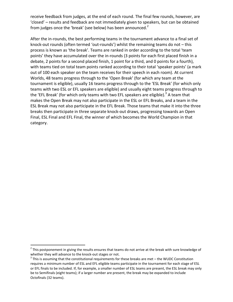receive feedback from judges, at the end of each round. The final few rounds, however, are 'closed' – results and feedback are not immediately given to speakers, but can be obtained from judges once the 'break' (see below) has been announced. $2$ 

After the in-rounds, the best performing teams in the tournament advance to a final set of knock-out rounds (often termed 'out-rounds') whilst the remaining teams do not – this process is known as 'the break'. Teams are ranked in order according to the total 'team points' they have accumulated over the in-rounds (3 points for each first placed finish in a debate, 2 points for a second placed finish, 1 point for a third, and 0 points for a fourth), with teams tied on total team points ranked according to their total 'speaker points' (a mark out of 100 each speaker on the team receives for their speech in each room). At current Worlds, 48 teams progress through to the 'Open Break' (for which any team at the tournament is eligible), usually 16 teams progress through to the 'ESL Break' (for which only teams with two ESL or EFL speakers are eligible) and usually eight teams progress through to the 'EFL Break' (for which only teams with two EFL speakers are eligible).<sup>3</sup> A team that makes the Open Break may not also participate in the ESL or EFL Breaks, and a team in the ESL Break may not also participate in the EFL Break. Those teams that make it into the three breaks then participate in three separate knock-out draws, progressing towards an Open Final, ESL Final and EFL Final, the winner of which becomes the World Champion in that category.

 $\overline{a}$ 

 $2$  This postponement in giving the results ensures that teams do not arrive at the break with sure knowledge of

whether they will advance to the knock-out stages or not.<br><sup>3</sup> This is assuming that the constitutional requirements for these breaks are met – the WUDC Constitution requires a minimum number of ESL and EFL eligible teams participate in the tournament for each stage of ESL or EFL finals to be included. If, for example, a smaller number of ESL teams are present, the ESL break may only be to Semifinals (eight teams); if a larger number are present, the break may be expanded to include Octofinals (32 teams).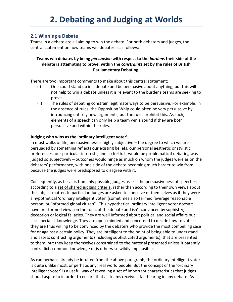# **2.1 Winning a Debate**

Teams in a debate are all aiming to win the debate. For both debaters and judges, the central statement on how teams win debates is as follows:

### **Teams win debates by being** *persuasive* **with respect to the** *burdens* **their side of the debate is attempting to prove, within the** *constraints* **set by the rules of British Parliamentary Debating.**

There are two important comments to make about this central statement:

- (i) One could stand up in a debate and be persuasive about anything, but this will not help to win a debate unless it is relevant to the burdens teams are seeking to prove.
- (ii) The rules of debating constrain legitimate ways to be persuasive. For example, in the absence of rules, the Opposition Whip could often be very persuasive by introducing entirely new arguments, but the rules prohibit this. As such, elements of a speech can only help a team win a round if they are both persuasive and within the rules.

#### **Judging who wins as the 'ordinary intelligent voter'**

In most walks of life, persuasiveness is highly subjective – the degree to which we are persuaded by something reflects our existing beliefs, our personal aesthetic or stylistic preferences, our particular interests, and so forth. It would be problematic if debating was judged so subjectively – outcomes would hinge as much on whom the judges were as on the debaters' performance, with one side of the debate becoming much harder to win from because the judges were predisposed to disagree with it.

Consequently, as far as is humanly possible, judges assess the persuasiveness of speeches according to a set of shared judging criteria, rather than according to their own views about the subject matter. In particular, judges are asked to conceive of themselves as if they were a hypothetical 'ordinary intelligent voter' (sometimes also termed 'average reasonable person' or 'informed global citizen'). This hypothetical ordinary intelligent voter doesn't have pre-formed views on the topic of the debate and isn't convinced by sophistry, deception or logical fallacies. They are well informed about political and social affairs but lack specialist knowledge. They are open-minded and concerned to decide how to vote – they are thus willing to be convinced by the debaters who provide the most compelling case for or against a certain policy. They are intelligent to the point of being able to understand and assess contrasting arguments (including sophisticated arguments), that are presented to them; but they keep themselves constrained to the material presented unless it patently contradicts common knowledge or is otherwise wildly implausible.

As can perhaps already be intuited from the above paragraph, the ordinary intelligent voter is quite unlike most, or perhaps any, real world people. But the concept of the 'ordinary intelligent voter' is a useful way of revealing a set of important characteristics that judges should aspire to in order to ensure that all teams receive a fair hearing in any debate. As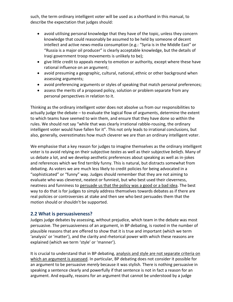such, the term ordinary intelligent voter will be used as a shorthand in this manual, to describe the expectation that judges should:

- avoid utilising personal knowledge that they have of the topic, unless they concern knowledge that could reasonably be assumed to be held by someone of decent intellect and active news-media consumption (e.g.: "Syria is in the Middle East" or "Russia is a major oil producer" is clearly acceptable knowledge, but the details of Iraqi government troop movements is unlikely to be);
- give little credit to appeals merely to emotion or authority, except where these have rational influence on an argument;
- avoid presuming a geographic, cultural, national, ethnic or other background when assessing arguments;
- avoid preferencing arguments or styles of speaking that match personal preferences;
- assess the merits of a proposed policy, solution or problem separate from any personal perspectives in relation to it.

Thinking as the ordinary intelligent voter does not absolve us from our responsibilities to actually judge the debate – to evaluate the logical flow of arguments, determine the extent to which teams have seemed to win them, and ensure that they have done so within the rules. We should not say "while that was clearly irrational rabble-rousing, the ordinary intelligent voter would have fallen for it". This not only leads to irrational conclusions, but also, generally, overestimates how much cleverer we are than an ordinary intelligent voter.

We emphasise that a key reason for judges to imagine themselves as the ordinary intelligent voter is to avoid relying on their subjective *tastes* as well as their subjective *beliefs*. Many of us debate a lot, and we develop aesthetic preferences about speaking as well as in-jokes and references which we find terribly funny. This is natural, but distracts somewhat from debating. As voters we are much less likely to credit policies for being advocated in a "sophisticated" or "funny" way. Judges should remember that they are not aiming to evaluate who was cleverest, neatest or funniest, but who best used their cleverness, neatness and funniness to persuade us that the policy was a good or a bad idea. The best way to do that is for judges to simply address themselves towards debates as if there are real policies or controversies at stake and then see who best persuades them that the motion should or shouldn't be supported.

# **2.2 What is persuasiveness?**

Judges judge debates by assessing, without prejudice, which team in the debate was most persuasive. The persuasiveness of an argument, in BP debating, is rooted in the number of plausible reasons that are offered to show that it is true and important (which we term 'analysis' or 'matter'), and the clarity and rhetorical power with which these reasons are explained (which we term 'style' or 'manner').

It is crucial to understand that in BP debating, analysis and style are not separate criteria on which an argument is assessed. In particular, BP debating does not consider it possible for an argument to be persuasive *merely* because it was stylish*.* There is nothing persuasive in speaking a sentence clearly and powerfully if that sentence is not in fact a reason for an argument. And equally, reasons for an argument that cannot be understood by a judge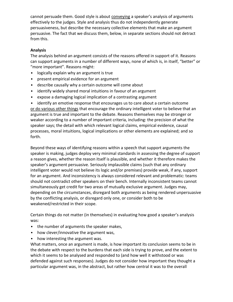cannot persuade them. Good style is about conveying a speaker's analysis of arguments effectively to the judges. Style and analysis thus do not independently generate persuasiveness, but describe the necessary collective elements that make an argument persuasive. The fact that we discuss them, below, in separate sections should not detract from this.

#### **Analysis**

The analysis behind an argument consists of the reasons offered in support of it. Reasons can support arguments in a number of different ways, none of which is, in itself, "better" or "more important". Reasons might:

- logically explain why an argument is true
- present empirical evidence for an argument
- describe causally why a certain outcome will come about
- identify widely shared moral intuitions in favour of an argument
- expose a damaging logical implication of a contrasting argument

• identify an emotive response that encourages us to care about a certain outcome or do various other things that encourage the ordinary intelligent voter to believe that an argument is true and important to the debate. Reasons themselves may be stronger or weaker according to a number of important criteria, including: the precision of what the speaker says; the detail with which relevant logical claims, empirical evidence, causal processes, moral intuitions, logical implications or other elements are explained; and so forth.

Beyond these ways of identifying reasons within a speech that support arguments the speaker is making, judges deploy very minimal standards in assessing the degree of support a reason gives, whether the reason itself is plausible, and whether it therefore makes the speaker's argument persuasive. Seriously implausible claims (such that any ordinary intelligent voter would not believe its logic and/or premises) provide weak, if any, support for an argument. And inconsistency is always considered relevant and problematic: teams should not contradict other speakers on their bench. Internally inconsistent teams cannot simultaneously get credit for two areas of mutually exclusive argument. Judges may, depending on the circumstances, disregard both arguments as being rendered unpersuasive by the conflicting analysis, or disregard only one, or consider both to be weakened/restricted in their scope.

Certain things do not matter (in themselves) in evaluating how good a speaker's analysis was:

- the number of arguments the speaker makes,
- how clever/innovative the argument was,
- how interesting the argument was.

What matters, once an argument is made, is how important its conclusion seems to be in the debate with respect to the burdens that each side is trying to prove, and the extent to which it seems to be analysed and responded to (and how well it withstood or was defended against such responses). Judges do not consider how important they thought a particular argument was, in the abstract, but rather how central it was to the overall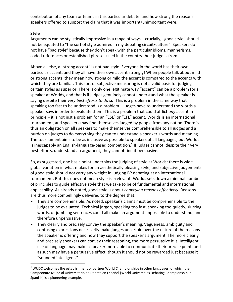contribution of any team or teams in this particular debate, and how strong the reasons speakers offered to support the claim that it was important/unimportant were.

#### **Style**

 $\overline{a}$ 

Arguments can be stylistically impressive in a range of ways – crucially, "good style" should not be equated to "the sort of style admired in my debating circuit/culture". Speakers do not have "bad style" because they don't speak with the particular idioms, mannerisms, coded references or established phrases used in the country their judge is from.

Above all else, a "strong accent" is not bad style. Everyone in the world has their own particular accent, and they all have their own accent strongly! When people talk about mild or strong accents, they mean how strong or mild the accent is compared to the accents with which they are familiar*.* This sort of subjective measuring is not a valid basis for judging certain styles as superior. There is only one legitimate way "accent" can be a problem for a speaker at Worlds, and that is if judges genuinely cannot understand what the speaker is saying despite their *very best efforts to do so*. This is a problem in the same way that speaking too fast to be understood is a problem – judges have to understand the words a speaker says in order to evaluate them. This is a problem that could afflict *any* accent in principle – it is not just a problem for an "ESL" or "EFL" accent. Worlds is an international tournament, and speakers may find themselves judged by people from any nation. There is thus an obligation on all speakers to make themselves comprehensible to all judges and a burden on judges to do everything they can to understand a speaker's words and meaning. The tournament aims to be as inclusive as possible to speakers of all languages, but Worlds is inescapably an English-language-based competition.<sup>4</sup> If judges cannot, despite their very best efforts, understand an argument, they cannot find it persuasive.

So, as suggested, one basic point underpins the judging of style at Worlds: there is wide global variation in what makes for an aesthetically pleasing style, and subjective judgements of good style should not carry any weight in judging BP debating at an international tournament. But this does not mean style is irrelevant. Worlds sets down a minimal number of principles to guide effective style that we take to be of fundamental and international applicability. As already noted, good style is about *conveying reasons effectively*. Reasons are thus more compellingly delivered to the degree that:

- They are comprehensible. As noted, speaker's claims must be comprehensible to the judges to be evaluated. Technical jargon, speaking too fast, speaking too quietly, slurring words, or jumbling sentences could all make an argument impossible to understand, and therefore unpersuasive.
- They clearly and precisely convey the speaker's meaning. Vagueness, ambiguity and confusing expressions necessarily make judges uncertain over the nature of the reasons the speaker is offering and how they support the speaker's argument. The more clearly and precisely speakers can convey their reasoning, the more persuasive it is. Intelligent use of language may make a speaker more able to communicate their precise point, and as such may have a persuasive effect, though it should not be rewarded just because it "sounded intelligent."

 $4$  WUDC welcomes the establishment of partner World Championships in other languages, of which the Campeonato Mundial Universitario de Debate en Español (World Universities Debating Championship in Spanish) is a pioneering example.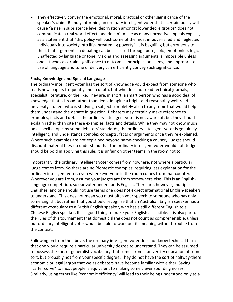• They effectively convey the emotional, moral, practical or other significance of the speaker's claim. Blandly informing an ordinary intelligent voter that a certain policy will cause "a rise in subsistence level deprivation amongst lower decile groups" does not communicate a real world effect, and doesn't make as many normative appeals explicit, as a statement that "this policy will push some of the most impoverished and neglected individuals into society into life-threatening poverty". It is beguiling but erroneous to think that arguments in debating can be assessed through pure, cold, emotionless logic unaffected by language or tone. Making and assessing arguments is impossible unless one attaches a certain significance to outcomes, principles or claims, and appropriate use of language and tone of delivery can efficiently convey such significance.

#### **Facts, Knowledge and Special Language**

The ordinary intelligent voter has the sort of knowledge you'd expect from someone who reads newspapers frequently and in depth, but who does not read technical journals, specialist literature, or the like. They are, in short, a smart person who has a good deal of knowledge that is broad rather than deep. Imagine a bright and reasonably well-read university student who is studying a subject completely alien to any topic that would help them understand the debate in question. Debaters may certainly make reference to examples, facts and details the ordinary intelligent voter is not aware of, but they should explain rather than cite these examples, facts and details. While they may not know much on a specific topic by some debaters' standards, the ordinary intelligent voter is genuinely intelligent, and understands complex concepts, facts or arguments once they're explained. Where such examples are not explained beyond name-checking a country, judges should discount material they do understand that the ordinary intelligent voter would not. Judges should be bold in applying this rule: it is unfair on other teams in the room not to.

Importantly, the ordinary intelligent voter comes from nowhere, not where a particular judge comes from. So there are no 'domestic examples' requiring less explanation for the ordinary intelligent voter, even where everyone in the room comes from that country. Wherever you are from, assume your judges are from somewhere else. This is an Englishlanguage competition, so our voter understands English. There are, however, multiple Englishes, and one should not use terms one does not expect international English-speakers to understand. This does not mean you must pitch your speech to someone who has only some English, but rather that you should recognise that an Australian English speaker has a different vocabulary to a British English speaker, who has a still different English to a Chinese English speaker. It is a good thing to make your English accessible. It is also part of the rules of this tournament that domestic slang does not count as comprehensible, unless our ordinary intelligent voter would be able to work out its meaning without trouble from the context.

Following on from the above, the ordinary intelligent voter does not know technical terms that one would require a particular university degree to understand. They can be assumed to possess the sort of generalist vocabulary that comes from a university education of some sort, but probably not from your specific degree. They do not have the sort of halfway-there economic or legal jargon that we as debaters have become familiar with either. Saying "Laffer curve" to most people is equivalent to making some clever sounding noises. Similarly, using terms like 'economic efficiency' will lead to their being understood only as a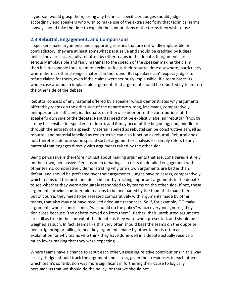layperson would grasp them, losing any technical specificity. Judges should judge accordingly and speakers who wish to make use of the extra specificity that technical terms convey should take the time to explain the connotations of the terms they wish to use.

# **2.3 Rebuttal, Engagement, and Comparisons**

If speakers make arguments and supporting reasons that are not wildly implausible or contradictory, they are at least somewhat persuasive and should be credited by judges unless they are successfully rebutted by other teams in the debate. If arguments are seriously implausible and fairly marginal to the speech of the speaker making the claim, then it is reasonable for a team to decide to focus their rebuttal time elsewhere, particularly where there is other stronger material in the round. But speakers can't expect judges to refute claims for them, even if the claims were seriously implausible. If a team bases its whole case around an implausible argument, that argument should be rebutted by teams on the other side of the debate.

Rebuttal consists of any material offered by a speaker which demonstrates why arguments offered by teams on the other side of the debate are wrong, irrelevant, comparatively unimportant, insufficient, inadequate, or otherwise inferior to the contributions of the speaker's own side of the debate. Rebuttal need not be explicitly labelled 'rebuttal' (though it may be sensible for speakers to do so), and it may occur at the beginning, end, middle or through the entirety of a speech. Material labelled as rebuttal can be constructive as well as rebuttal, and material labelled as constructive can also function as rebuttal. Rebuttal does not, therefore, denote some special sort of argument or analysis – it simply refers to any material that engages directly with arguments raised by the other side.

Being persuasive is therefore not just about making arguments that are, considered entirely on their own, persuasive. Persuasion in debating also rests on detailed engagement with other teams, comparatively demonstrating why one's own arguments are better than, defeat, and should be preferred over their arguments. Judges have to assess, comparatively, which teams did this best, and do so in part by tracking important arguments in the debate to see whether they were adequately responded to by teams on the other side. If not, these arguments provide considerable reasons to be persuaded by the team that made them – but of course, they need to be assessed comparatively with arguments made by other teams, that also may not have received adequate responses. So if, for example, OG make arguments whose conclusion is "we should do the policy" which everyone ignores, they don't lose because "the debate moved on from them". Rather, their unrebutted arguments are still as true in the context of the debate as they were when presented, and should be weighed as such. In fact, teams like this very often should beat the teams on the opposite bench. Ignoring or failing to hear key arguments made by other teams is often an explanation for why teams who think they have done well in a debate actually receive a much lower ranking that they were expecting.

Where teams have a chance to rebut each other, assessing relative contributions in this way is easy. Judges should track the argument and assess, given their responses to each other, which team's contribution was more significant in furthering their cause to logically persuade us that we should do the policy, or that we should not.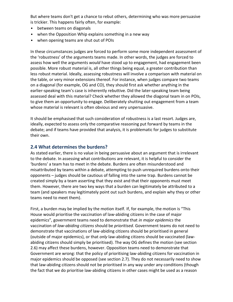But where teams don't get a chance to rebut others, determining who was more persuasive is trickier. This happens fairly often, for example:

- between teams on diagonals
- when the Opposition Whip explains something in a new way
- when opening teams are shut out of POIs

In these circumstances judges are forced to perform some more independent assessment of the 'robustness' of the arguments teams made. In other words, the judges are forced to assess how well the arguments *would* have stood up to engagement, had engagement been possible. More robust material is, all other things being equal, a greater contribution than less robust material. Ideally, assessing robustness will involve a comparison with material on the table, or very minor extensions thereof. For instance, when judges compare two teams on a diagonal (for example, OG and CO), they should first ask whether anything in the earlier-speaking team's case is inherently rebuttive. Did the later-speaking team being assessed deal with this material? Check whether they allowed the diagonal team in on POIs, to give them an opportunity to engage. Deliberately shutting out engagement from a team whose material is relevant is often obvious and very unpersuasive.

It should be emphasised that such consideration of robustness is a last resort. Judges are, ideally, expected to assess only the comparative reasoning put forward by teams in the debate; and if teams have provided that analysis, it is problematic for judges to substitute their own.

# **2.4 What determines the burdens?**

As stated earlier, there is no value in being persuasive about an argument that is irrelevant to the debate. In assessing what contributions are relevant, it is helpful to consider the 'burdens' a team has to meet in the debate. Burdens are often misunderstood and misattributed by teams within a debate, attempting to push unrequired burdens onto their opponents – judges should be cautious of falling into the same trap. Burdens cannot be created simply by a team asserting that they exist and that their opponents must meet them. However, there are two key ways that a burden can legitimately be attributed to a team (and speakers may legitimately point out such burdens, and explain why they or other teams need to meet them).

First, a burden may be implied by the motion itself. If, for example, the motion is "This House would prioritise the vaccination of law-abiding citizens in the case of major epidemics", government teams need to demonstrate that *in major epidemics* the vaccination of *law-abiding citizens* should be *prioritised*. Government teams do not need to demonstrate that vaccinations of law-abiding citizens should be prioritised in general (outside of major epidemics), or that *only* law-abiding citizens should be vaccinated (lawabiding citizens should simply be prioritised). The way OG defines the motion (see section 2.6) may affect these burdens, however. Opposition teams need to demonstrate that Government are wrong: that the policy of prioritising law-abiding citizens for vaccination in major epidemics should be opposed (see section 2.7). They do not necessarily need to show that law-abiding citizens should not be prioritised in any way under any conditions (though the fact that we do prioritise law-abiding citizens in other cases might be used as a reason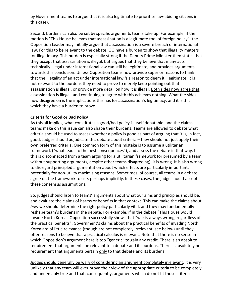by Government teams to argue that it is also legitimate to prioritise law-abiding citizens in this case).

Second, burdens can also be set by specific arguments teams take up. For example, if the motion is "This House believes that assassination is a legitimate tool of foreign policy", the Opposition Leader may initially argue that assassination is a severe breach of international law. For this to be relevant to the debate, OO have a burden to show that illegality matters for illegitimacy. This burden is especially strong if the Deputy Prime Minister then states that they accept that assassination is illegal, but argues that they believe that many acts technically illegal under international law can still be legitimate, and provides arguments towards this conclusion. Unless Opposition teams now provide superior reasons to think that the illegality of an act under international law *is* a reason to deem it illegitimate, it is not relevant to the burdens they need to prove to merely keep pointing out that assassination is illegal, or provide more detail on how it is illegal. Both sides now agree that assassination is illegal, and continuing to agree with this achieves nothing. What the sides now disagree on is the implications this has for assassination's legitimacy, and it is this which they have a burden to prove.

#### **Criteria for Good or Bad Policy**

As this all implies, what constitutes a good/bad policy is itself debatable, and the claims teams make on this issue can also shape their burdens. Teams are allowed to debate what criteria should be used to assess whether a policy is good as part of arguing that it is, in fact, good. Judges should adjudicate this debate about criteria – they should not just apply their own preferred criteria. One common form of this mistake is to assume a utilitarian framework ("what leads to the best consequences"), and assess the debate in that way. If this is disconnected from a team arguing for a utilitarian framework (or presumed by a team without supporting arguments, despite other teams disagreeing), it is wrong. It is also wrong to disregard principled argumentation about which effects are particularly important, potentially for non-utility maximising reasons. Sometimes, of course, all teams in a debate agree on the framework to use, perhaps implicitly. In these cases, the judge should accept these consensus assumptions.

So, judges should listen to teams' arguments about what our aims and principles should be, and evaluate the claims of harms or benefits in that context. This can make the claims about *how* we should determine the right policy particularly vital, and they may fundamentally reshape team's burdens in the debate. For example, if in the debate "This House would invade North Korea" Opposition successfully shows that "war is always wrong, regardless of the practical benefits", Government's claims about the practical benefits of invading North Korea are of little relevance (though are not completely irrelevant, see below) until they offer reasons to believe that a practical calculus is relevant. Note that there is no sense in which Opposition's argument here is too "generic" to gain any credit. There is an absolute requirement that arguments be relevant to a debate and its burdens. There is absolutely no requirement that arguments pertain only to that debate and its burdens.

Judges should generally be wary of considering an argument completely irrelevant. It is very unlikely that any team will ever prove their view of the appropriate criteria to be completely and undeniably true and that, consequently, arguments which do not fit those criteria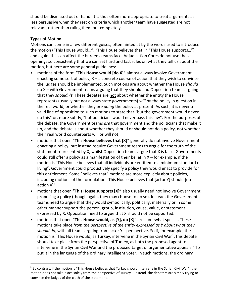should be dismissed out of hand. It is thus often more appropriate to treat arguments as less persuasive when they rest on criteria which another team have suggested are not relevant, rather than ruling them out completely.

#### **Types of Motion**

 $\overline{a}$ 

Motions can come in a few different guises, often hinted at by the words used to introduce the motion ("This House would…", "This House believes that…" "This House supports…") and again, this can affect the burdens teams face. Adjudication Cores do not use these openings so consistently that we can set hard and fast rules on what they tell us about the motion, but here are some general guidelines:

- motions of the form **"This House would [do X]"** almost always involve Government enacting some sort of policy,  $X - a$  concrete course of action that they wish to convince the judges should be implemented. Such motions are about whether the House *should*  do X – with Government teams arguing that they should and Opposition teams arguing that they *shouldn't*. These debates are not about whether the entity the House represents (usually but not always state governments) *will do* the policy in question in the real world, or whether they *are doing* the policy at present. As such, it is never a valid line of opposition to such motions to state that "but the government would never do this" or, more subtly, "but politicians would never pass this law". For the purposes of the debate, the Government teams *are* that government and the politicians that make it up, and the debate is about whether they should or should not do a policy, not whether their real world counterparts will or will not;
- motions that open **"This House believes that [X]"** generally do not involve Government enacting a policy, but instead require Government teams to argue for the truth of the statement represented by X, whilst Opposition teams argue that X is false. Governments could still offer a policy as a manifestation of their belief in  $X$  – for example, if the motion is "This House believes that all individuals are entitled to a minimum standard of living", Government could productively specify a policy they would enact to provide for this entitlement. Some "believes that" motions are more explicitly about policies, including motions of the formulation "This House believes that [actor Y] should [do action X]".
- motions that open **"This House supports [X]"** also usually need not involve Government proposing a policy (though again, they may choose to do so). Instead, the Government teams need to argue that they would symbolically, politically, materially or in some other manner support the person, group, institution, cause, value, or statement expressed by X. Opposition need to argue that X should not be supported.
- motions that open **"This House would, as [Y], do [X]"** are somewhat special. These motions take place *from the perspective of the entity expressed as Y about what they should do,* with all teams arguing from actor Y's perspective. So if, for example, the motion is "This House would, as Turkey, intervene in the Syrian Civil War", this debate should take place from the perspective of Turkey, as both the proposed agent to intervene in the Syrian Civil War and the proposed target of argumentative appeals.<sup>5</sup> To put it in the language of the ordinary intelligent voter, in such motions, the ordinary

 $<sup>5</sup>$  By contrast, if the motion is "This House believes that Turkey should intervene in the Syrian Civil War", the</sup> motion does not take place solely from the perspective of Turkey – instead, the debaters are simply trying to convince the judges of the truth of the statement.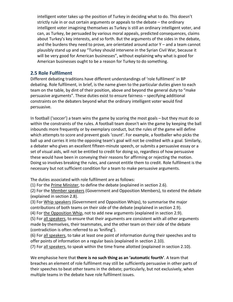intelligent voter takes up the position of Turkey in deciding what to do. This doesn't strictly rule in or out certain arguments or appeals to the debate – the ordinary intelligent voter imagining themselves as Turkey is still an ordinary intelligent voter, and can, as Turkey, be persuaded by various moral appeals, predicted consequences, claims about Turkey's key interests, and so forth. But the arguments of the sides in the debate, and the burdens they need to prove, are orientated around actor Y – and a team cannot plausibly stand up and say "Turkey should intervene in the Syrian Civil War, because it will be very good for American businesses", without explaining why what is good for American businesses ought to be a reason for Turkey to do something.

# **2.5 Role Fulfilment**

Different debating traditions have different understandings of 'role fulfilment' in BP debating. Role fulfilment, in brief, is the name given to the particular duties given to each team on the table, by dint of their position, above and beyond the general duty to "make persuasive arguments". These duties exist to ensure fairness – specifying additional constraints on the debaters beyond what the ordinary intelligent voter would find persuasive.

In football ('soccer') a team wins the game by scoring the most goals – but they must do so within the constraints of the rules. A football team doesn't win the game by keeping the ball inbounds more frequently or by exemplary conduct, but the rules of the game will define which attempts to score and prevent goals 'count'. For example, a footballer who picks the ball up and carries it into the opposing team's goal will not be credited with a goal. Similarly, a debater who gives an excellent fifteen-minute speech, or submits a persuasive essay or a set of visual aids, will not be entitled to credit for doing so, regardless of how persuasive these would have been in conveying their reasons for affirming or rejecting the motion. Doing so involves breaking the rules, and cannot entitle them to credit. Role fulfilment is the necessary but not sufficient condition for a team to make persuasive arguments.

The duties associated with role fulfilment are as follows:

(1) For the Prime Minister, to define the debate (explained in section 2.6).

(2) For the Member speakers (Government and Opposition Members), to extend the debate (explained in section 2.8).

(3) For Whip speakers (Government and Opposition Whips), to summarise the major contributions of both teams on their side of the debate (explained in section 2.9).

(4) For the Opposition Whip, not to add new arguments (explained in section 2.9).

(5) For all speakers, to ensure that their arguments are consistent with all other arguments made by themselves, their teammates, and the other team on their side of the debate (contradiction is often referred to as 'knifing').

(6) For all speakers, to take at least one point of information during their speeches and to offer points of information on a regular basis (explained in section 2.10).

(7) For all speakers, to speak within the time frame allotted (explained in section 2.10).

We emphasise here that **there is no such thing as an 'automatic fourth'**. A team that breaches an element of role fulfilment may still be sufficiently persuasive in other parts of their speeches to beat other teams in the debate; particularly, but not exclusively, when multiple teams in the debate have role fulfilment issues.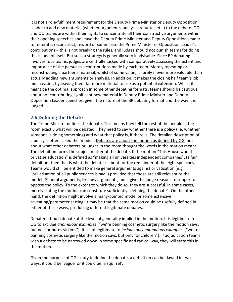It is not a role-fulfilment requirement for the Deputy Prime Minister or Deputy Opposition Leader to add new material (whether arguments, analysis, rebuttal, etc.) to the debate. OG and OO teams are within their rights to concentrate all their constructive arguments within their opening speeches and leave the Deputy Prime Minister and Deputy Opposition Leader to reiterate, reconstruct, reword or summarise the Prime Minister or Opposition Leader's contributions – this is not breaking the rules, and judges should not punish teams for doing this in and of itself. But such a strategy is generally very inadvisable. Since BP debating involves four teams, judges are centrally tasked with comparatively assessing the extent and importance of the persuasive contributions made by each team. Merely repeating or reconstructing a partner's material, whilst of some value, is rarely if ever more valuable than actually adding new arguments or analysis. In addition, it makes the closing half team's job much easier, by leaving them far more material to use as a potential extension. Whilst it might be the optimal approach in some other debating formats, teams should be cautious about not contributing significant new material in Deputy Prime Minister and Deputy Opposition Leader speeches, given the nature of the BP debating format and the way it is judged.

# **2.6 Defining the Debate**

The Prime Minister defines the debate. This means they tell the rest of the people in the room exactly what will be debated. They need to say whether there is a policy (i.e. whether someone is doing something) and what that policy is, if there is. The detailed description of a policy is often called the 'model'. Debates are about the motion as defined by OG, not about what other debaters or judges in the room thought the words in the motion meant. The definition forms the subject matter of the debate. If the motion "This House would privatise education" is defined as "making all universities independent companies", (a fair definition) then that is what the debate is about for the remainder of the eight speeches. Teams would still be entitled to make general arguments against privatisation (e.g. "privatisation of all public services is bad") provided that those are still relevant to the model. General arguments, like any arguments, must give the judge reasons to support or oppose the policy. To the extent to which they do so, they are successful. In some cases, merely stating the motion can constitute sufficiently "defining the debate". On the other hand, the definition might involve a many-pointed model or some extensive caveating/parameter setting. It may be that the same motion could be usefully defined in either of these ways, producing different legitimate debates.

Debaters should debate at the level of generality implied in the motion. It is legitimate for OG to *exclude anomalous examples* ("we're banning cosmetic surgery like the motion says, but not for burns victims"). It is not legitimate to *include only anomalous examples* ("we're banning cosmetic surgery like the motion says, but only for children"). If adjudication teams wish a debate to be narrowed down in some specific and radical way, they will state this in the motion.

Given the purpose of OG's duty to define the debate, a definition can be flawed in two ways: it could be 'vague' or it could be 'a squirrel'.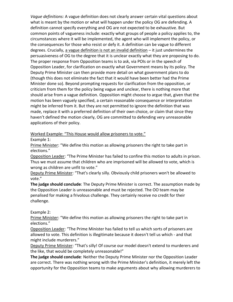*Vague definitions:* A vague definition does not clearly answer certain vital questions about what is meant by the motion or what will happen under the policy OG are defending. A definition cannot specify everything and OG are not expected to be exhaustive. But common points of vagueness include: exactly what groups of people a policy applies to, the circumstances where it will be implemented, the agent who will implement the policy, or the consequences for those who resist or defy it. A definition can be vague to different degrees. Crucially, a vague definition is not an invalid definition - it just undermines the persuasiveness of OG to the degree that it is unclear exactly what they are proposing to do. The proper response from Opposition teams is to ask, via POIs or in the speech of Opposition Leader, for clarification on exactly what Government means by its policy. The Deputy Prime Minister can then provide more detail on what government plans to do (though this does not eliminate the fact that it would have been better had the Prime Minister done so). Beyond prompting requests for clarification from the opposition, or criticism from them for the policy being vague and unclear, there is nothing more that should arise from a vague definition. Opposition might choose to argue that, given that the motion has been vaguely specified, a certain reasonable consequence or interpretation might be inferred from it. But they are not permitted to ignore the definition that was made, replace it with a preferred definition of their own choice, or claim that since they haven't defined the motion clearly, OG are committed to defending very unreasonable applications of their policy.

Worked Example: "This House would allow prisoners to vote."

Example 1:

Prime Minister: "We define this motion as allowing prisoners the right to take part in elections."

Opposition Leader: "The Prime Minister has failed to confine this motion to adults in prison. Thus we must assume that children who are imprisoned will be allowed to vote, which is wrong as children are unfit to vote."

Deputy Prime Minister: "That's clearly silly. Obviously child prisoners won't be allowed to vote."

**The judge should conclude**: The Deputy Prime Minister is correct. The assumption made by the Opposition Leader is unreasonable and must be rejected. The OO team may be penalised for making a frivolous challenge. They certainly receive no credit for their challenge.

Example 2:

Prime Minister: "We define this motion as allowing prisoners the right to take part in elections."

Opposition Leader: "The Prime Minister has failed to tell us which sorts of prisoners are allowed to vote. This definition is illegitimate because it doesn't tell us which - and that might include murderers."

Deputy Prime Minister: "That's silly! Of course our model doesn't extend to murderers and the like, that would be completely unreasonable!"

**The judge should conclude**: Neither the Deputy Prime Minister nor the Opposition Leader are correct. There was nothing wrong with the Prime Minister's definition, it merely left the opportunity for the Opposition teams to make arguments about why allowing murderers to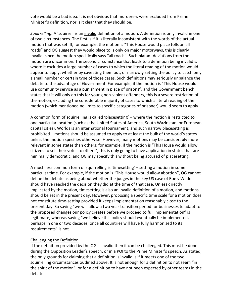vote would be a bad idea. It is not obvious that murderers were excluded from Prime Minister's definition, nor is it clear that they should be.

*Squirrelling:* A 'squirrel' is an invalid definition of a motion. A definition is only invalid in one of two circumstances. The first is if it is literally inconsistent with the words of the actual motion that was set. If, for example, the motion is "This House would place tolls on all roads" and OG suggest they would place tolls only on major motorways, this is clearly invalid, since the motion specifically says "all roads". Such blatant deviations from the motion are uncommon. The second circumstance that leads to a definition being invalid is where it excludes a large number of cases to which the literal reading of the motion would appear to apply, whether by caveating them out, or narrowly setting the policy to catch only a small number or certain type of those cases. Such definitions may seriously unbalance the debate to the advantage of Government. For example, if the motion is "This House would use community service as a punishment in place of prisons", and the Government bench states that it will only do this for young non-violent offenders, this is a severe restriction of the motion, excluding the considerable majority of cases to which a literal reading of the motion (which mentioned no limits to specific categories of prisoner) would seem to apply.

A common form of squirrelling is called 'placesetting' – where the motion is restricted to one particular location (such as the United States of America, South Waziristan, or European capital cities). Worlds is an international tournament, and such narrow placesetting is prohibited – motions should be assumed to apply to at least the bulk of the world's states unless the motion specifies otherwise. However, many motions may be considerably more relevant in some states than others: for example, if the motion is "This House would allow citizens to sell their votes to others", this is only going to have application in states that are minimally democratic, and OG may specify this without being accused of placesetting.

A much less common form of squirrelling is 'timesetting' – setting a motion in some particular time. For example, if the motion is "This House would allow abortion", OG cannot define the debate as being about whether the judges in the key US case of Roe v Wade should have reached the decision they did at the time of that case. Unless directly implicated by the motion, timesetting is also an invalid definition of a motion, and motions should be set in the present day. However, proposing a specific time scale for a motion does not constitute time-setting provided it keeps implementation reasonably close to the present day. So saying "we will allow a two year transition period for businesses to adapt to the proposed changes our policy creates before we proceed to full implementation" is legitimate, whereas saying "we believe this policy should eventually be implemented, perhaps in one or two decades, once all countries will have fully harmonised to its requirements" is not.

#### Challenging the Definition

If the definition provided by the OG is invalid then it can be challenged. This must be done during the Opposition Leader's speech, or in a POI to the Prime Minister's speech. As stated, the only grounds for claiming that a definition is invalid is if it meets one of the two squirrelling circumstances outlined above. It is not enough for a definition to not seem "in the spirit of the motion", or for a definition to have not been expected by other teams in the debate.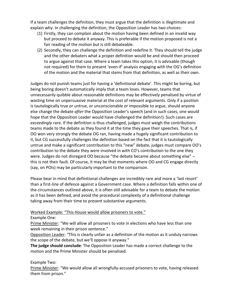If a team challenges the definition, they must argue that the definition is illegitimate and explain why. In challenging the definition, the Opposition Leader has two choices:

- (1) Firstly, they can complain about the motion having been defined in an invalid way but proceed to debate it anyway. This is preferable if the motion proposed is not a fair reading of the motion but is still debateable.
- (2) Secondly, they can challenge the definition and redefine it. They should tell the judge and the other debaters what a proper definition would be and should then proceed to argue against that case. Where a team takes this option, it is advisable (though not required) for them to present 'even-if' analysis engaging with the OG's definition of the motion and the material that stems from that definition, as well as their own.

Judges do not punish teams just for having a 'definitional debate'. This might be boring, but being boring doesn't automatically imply that a team loses. However, teams that unnecessarily quibble about reasonable definitions may be effectively penalised by virtue of wasting time on unpersuasive material at the cost of relevant arguments. Only if a position is tautologically true or untrue, or unconscionable or impossible to argue, should anyone else change the debate *after* the Opposition Leader's speech (and in such cases, one would hope that the Opposition Leader would have challenged the definition!). Such cases are *exceedingly* rare. If the definition is thus challenged, judges must weigh the contributions teams made to the debate as they found it at the time they gave their speeches. That is, if OO won very strongly the debate OG ran, having made a hugely significant contribution to it, but CG successfully challenges the definition based on the fact that it is tautologically untrue and make a significant contribution to this "new" debate, judges must compare OO's contribution to the debate they were involved in with CO's contribution to the one they were. Judges do not disregard OO because "the debate became about something else" – this is not their fault. Of course, it may be that moments where OO and CG engage directly (say, on POIs) may be particularly important to the comparison.

Please bear in mind that definitional challenges are incredibly rare and more a 'last resort' than a first-line of defence against a Government case. Where a definition falls within one of the circumstances outlined above, it is often still advisable for a team to debate the motion as it has been defined, and avoid the procedural complexity of a definitional challenge taking away from their time to present substantive arguments.

#### Worked Example: "This House would allow prisoners to vote."

Example One:

Prime Minister: "We will allow all prisoners to vote in elections who have less than one week remaining in their prison sentence."

Opposition Leader: "This is clearly unfair as a definition of the motion as it unduly narrows the scope of the debate, but we'll oppose it anyway."

**The judge should conclude**: The Opposition Leader has made a correct challenge to the motion and the Prime Minister should be penalised.

#### Example Two:

Prime Minister: "We would allow all wrongfully-accused prisoners to vote, having released them from prison."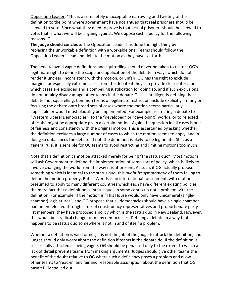Opposition Leader: "This is a completely unacceptable narrowing and twisting of the definition to the point where government have not argued that real prisoners should be allowed to vote. Since what they need to prove is that actual prisoners should be allowed to vote, that is what we will be arguing against. We oppose such a policy for the following reasons…"

**The judge should conclude**: The Opposition Leader has done the right thing by replacing the unworkable definition with a workable one. Teams should follow the Opposition Leader's lead and debate the motion as they have set forth.

The need to avoid vague definitions and squirrelling should never be taken to restrict OG's legitimate right to define the scope and application of the debate in ways which do not render it unclear, inconsistent with the motion, or unfair. OG has the right to exclude marginal or especially extreme cases from the debate if they can provide clear criteria on which cases are excluded and a compelling justification for doing so, and if such exclusions do not unfairly disadvantage other teams in the debate. This is intelligently defining the debate, not squirrelling. Common forms of legitimate restriction include explicitly limiting or focusing the debate onto broad sets of cases where the motion seems particularly applicable or would most plausibly be implemented. For example, restricting a debate to "Western Liberal Democracies", to the "developed" or "developing" worlds, or to "elected officials" might be appropriate given a certain motion. Again, the question in all cases is one of fairness and consistency with the original motion. This is ascertained by asking whether the definition excludes a large number of cases to which the motion seems to apply, and in doing so unbalances the debate. If not, the definition is likely to be legitimate. Still, as a general rule, it is sensible for OG teams to avoid restricting and limiting motions too much.

Note that a definition cannot be attacked merely for being "the status quo". Most motions will ask Government to defend the implementation of some sort of policy, which is likely to involve changing the world from the way it is at present. As such, if OG actually propose something which is identical to the status quo, this *might be symptomatic* of them failing to define the motion properly. But as Worlds is an international tournament, with motions presumed to apply to many different countries which each have different existing policies, the mere fact that a definition is "status quo" in some context is not a problem with the definition. For example, if the motion is "This House would only have unicameral (singlechamber) legislatures", and OG propose that all democracies should have a single chamber parliament elected through a mix of constituency representatives and proportionate partylist members, they have proposed a policy which is the status quo in New Zealand. However, this would be a radical change for many democracies. Defining a debate in a way that happens to be status quo somewhere is not in and of itself a problem.

Whether a definition is valid or not, it is not the job of the judge to attack the definition, and judges should only worry about the definition if teams in the debate do. If the definition is successfully attacked as being vague, OG should be penalised only to the extent to which a lack of detail prevents teams from making arguments. Judges should give other teams the benefit of the doubt relative to OG where such a deficiency poses a problem and allow other teams to 'read-in' any fair and reasonable assumption about the definition that OG hasn't fully spelled out.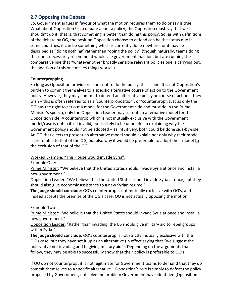# **2.7 Opposing the Debate**

So, Government argues in favour of what the motion requires them to do or say is true. What about Opposition? In a debate about a policy, the Opposition must say that we shouldn't do it; that is, that something is better than doing this policy. So, as with definitions of the debate by OG, the position Opposition choose to defend can be the status quo in some countries, it can be something which is currently done nowhere, or it may be described as "doing nothing" rather than "doing the policy" (though naturally, teams doing this don't necessarily recommend wholesale government inaction, but are running the comparative line that "whatever other broadly sensible relevant policies one is carrying out, the addition of this one makes things worse").

#### **Counterpropping**

So long as Opposition provide reasons not to do the policy, this is fine. It is not Opposition's burden to commit themselves to a specific alternative course of action to the Government policy. However, they may commit to defend an alternative policy or course of action if they wish – this is often referred to as a 'counterproposition', or 'counterprop'. Just as only the OG has the right to set out a model for the Government side and must do in the Prime Minister's speech, only the Opposition Leader may set out an alternative model for the Opposition side. A counterprop which is not mutually exclusive with the Government model/case is not in itself invalid, but is likely to be unhelpful in explaining why the Government policy should not be adopted – as intuitively, both could be done side-by-side. An OO that elects to present an alternative model should explain not only why their model is preferable to that of the OG, but also why it would be preferable to adopt their model to the exclusion of that of the OG.

Worked Example: "This House would invade Syria".

Example One:

Prime Minister: "We believe that the United States should invade Syria at once and install a new government."

Opposition Leader: "We believe that the United States should invade Syria at once, but they should also give economic assistance to a new Syrian regime."

**The judge should conclude**: OO's counterprop is not mutually exclusive with OG's, and indeed accepts the premise of the OG's case. OO is not actually opposing the motion.

# Example Two:

Prime Minister: "We believe that the United States should invade Syria at once and install a new government."

Opposition Leader: "Rather than invading, the US should give military aid to rebel groups within Syria."

**The judge should conclude**: OO's counterprop is not strictly mutually exclusive with the OG's case, but they have set it up as an alternative (in effect saying that "we suggest the policy of a) not invading and b) giving military aid"). Depending on the arguments that follow, they may be able to successfully show that their policy is preferable to OG's.

If OO do not counterprop, it is not legitimate for Government teams to demand that they do commit themselves to a specific alternative – Opposition's role is simply to defeat the policy proposed by Government, not solve the problem Government have identified (Opposition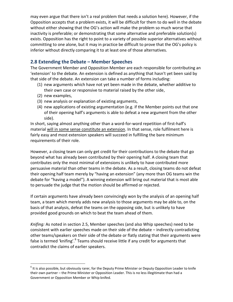may even argue that there isn't a real problem that needs a solution here). However, if the Opposition accepts that a problem exists, it will be difficult for them to do well in the debate without either showing that the OG's action will make the problem so much worse that inactivity is preferable; or demonstrating that some alternative and preferable solution(s) exists. Opposition has the right to point to a variety of possible superior alternatives without committing to one alone, but it may in practice be difficult to prove that the OG's policy is inferior without directly comparing it to at least one of those alternatives.

# **2.8 Extending the Debate – Member Speeches**

The Government Member and Opposition Member are each responsible for contributing an 'extension' to the debate. An extension is defined as anything that hasn't yet been said by that side of the debate. An extension can take a number of forms including:

- (1) new arguments which have not yet been made in the debate, whether additive to their own case or responsive to material raised by the other side,
- (2) new examples,

 $\overline{a}$ 

- (3) new analysis or explanation of existing arguments,
- (4) new applications of existing argumentation (e.g. if the Member points out that one of their opening half's arguments is able to defeat a new argument from the other side).

In short, saying almost anything other than a word-for-word repetition of first-half's material will in some sense constitute an extension. In that sense, role fulfilment here is fairly easy and most extension speakers will succeed in fulfilling the bare minimum requirements of their role.

However, a closing team can only get credit for their contributions to the debate that go beyond what has already been contributed by their opening half. A closing team that contributes only the most minimal of extensions is unlikely to have contributed more persuasive material than other teams in the debate. As a result, closing teams do not defeat their opening half team merely by "having an extension" (any more than OG teams win the debate for "having a model"). A winning extension will bring out material that is most able to persuade the judge that the motion should be affirmed or rejected.

If certain arguments have already been convincingly won by the analysis of an opening half team, a team which merely adds new analysis to those arguments may be able to, on the basis of that analysis, defeat the teams on the opposing side, but is unlikely to have provided good grounds on which to beat the team ahead of them.

*Knifing:* As noted in section 2.5, Member speeches (and also Whip speeches) need to be consistent with earlier speeches made on their side of the debate – indirectly contradicting other teams/speakers on their side of the debate or flatly stating that their arguments were false is termed 'knifing'.<sup>6</sup> Teams should receive little if any credit for arguments that contradict the claims of earlier speakers.

 $6$  It is also possible, but obviously rarer, for the Deputy Prime Minister or Deputy Opposition Leader to knife their own partner – the Prime Minister or Opposition Leader. This is no less illegitimate than had a Government or Opposition Member or Whip knifed.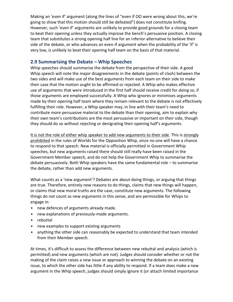Making an 'even if' argument (along the lines of "even if OO were wrong about this, we're going to show that this motion should still be defeated") does not constitute knifing. However, such 'even if' arguments are unlikely to provide good grounds for a closing team to beat their opening unless they actually improve the bench's persuasive position. A closing team that substitutes a strong opening half line for an inferior alternative to believe their side of the debate, or who advances an even-if argument when the probability of the 'if' is very low, is unlikely to beat their opening half team on the basis of that material.

# **2.9 Summarising the Debate – Whip Speeches**

Whip speeches should summarise the debate from the perspective of their side. A good Whip speech will note the major disagreements in the debate (points of clash) between the two sides and will make use of the best arguments from each team on their side to make their case that the motion ought to be affirmed or rejected. A Whip who makes effective use of arguments that were introduced in the first half should receive credit for doing so, if those arguments are employed successfully. A Whip who ignores or minimises arguments made by their opening half team where they remain relevant to the debate is not effectively fulfilling their role. However, a Whip speaker may, in line with their team's need to contribute more persuasive material to the debate than their opening, aim to explain why their own team's contributions are the most persuasive or important on their side, though they should do so without rejecting or denigrating their opening half's arguments.

It is not the role of either whip speaker to add new arguments to their side. This is strongly prohibited in the rules of Worlds for the Opposition Whip, since no one will have a chance to respond to that speech. New material is officially permitted in Government Whip speeches, but new arguments raised there should still really have been raised in the Government Member speech, and do not help the Government Whip to summarise the debate persuasively. Both Whip speakers have the same fundamental role – to summarise the debate, rather than add new arguments.

What counts as a 'new argument'? Debates are about doing things, or arguing that things are true. Therefore, entirely new reasons to do things, claims that new things will happen, or claims that new moral truths are the case, constitute new arguments. The following things do not count as new arguments in this sense, and are permissible for Whips to engage in:

- new defences of arguments already made.
- new explanations of previously-made arguments.
- rebuttal
- new examples to support existing arguments
- anything the other side can reasonably be expected to understand that team intended from their Member speech.

At times, it's difficult to assess the difference between new rebuttal and analysis (which is permitted) and new arguments (which are not). Judges should consider whether or not the making of the claim raises a new issue or approach to winning the debate on an existing issue, to which the other side has little if any ability to respond. If a team does make a new argument in the Whip speech, judges should simply ignore it (or attach limited importance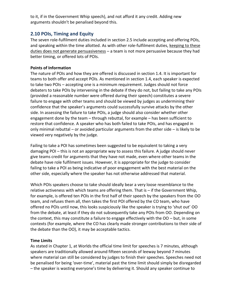to it, if in the Government Whip speech), and not afford it any credit. Adding new arguments shouldn't be penalised beyond this.

# **2.10 POIs, Timing and Equity**

The seven role-fulfilment duties included in section 2.5 include accepting and offering POIs, and speaking within the time allotted. As with other role-fulfilment duties, keeping to these duties does not generate persuasiveness – a team is not more persuasive because they had better timing, or offered lots of POIs.

#### **Points of Information**

The nature of POIs and how they are offered is discussed in section 1.4. It is important for teams to both offer and accept POIs. As mentioned in section 1.4, each speaker is expected to take two POIs – accepting one is a minimum requirement. Judges should not force debaters to take POIs by intervening in the debate if they do not, but failing to take any POIs (provided a reasonable number were offered during their speech) constitutes a severe failure to engage with other teams and should be viewed by judges as undermining their confidence that the speaker's arguments could successfully survive attacks by the other side. In assessing the failure to take POIs, a judge should also consider whether other engagement done by the team – through rebuttal, for example – has been sufficient to restore that confidence. A speaker who has both failed to take POIs, and has engaged in only minimal rebuttal – or avoided particular arguments from the other side – is likely to be viewed very negatively by the judge.

Failing to take a POI has sometimes been suggested to be equivalent to taking a very damaging POI – this is not an appropriate way to assess this failure. A judge should never give teams credit for arguments that they have not made, even where other teams in the debate have role fulfilment issues. However, it is appropriate for the judge to consider failing to take a POI as being indicative of poor engagement with the best material on the other side, especially where the speaker has not otherwise addressed that material.

Which POIs speakers choose to take should ideally bear a very loose resemblance to the relative activeness with which teams are offering them. That is – if the Government Whip, for example, is offered ten POIs in the first half of their speech by the speakers from the OO team, and refuses them all, then takes the first POI offered by the CO team, who have offered no POIs until now, this looks suspiciously like the speaker is trying to 'shut out' OO from the debate, at least if they do not subsequently take any POIs from OO. Depending on the context, this may constitute a failure to engage effectively with the OO – but, in some contexts (for example, where the CO has clearly made stronger contributions to their side of the debate than the OO), it may be acceptable tactics.

#### **Time Limits**

As stated in Chapter 1, at Worlds the official time limit for speeches is 7 minutes, although speakers are traditionally allowed around fifteen seconds of leeway beyond 7 minutes where material can still be considered by judges to finish their speeches. Speeches need not be penalised for being 'over-time', material past the time limit should simply be disregarded – the speaker is wasting everyone's time by delivering it. Should any speaker continue to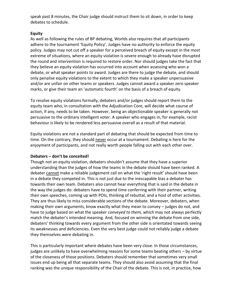speak past 8 minutes, the Chair judge should instruct them to sit down, in order to keep debates to schedule.

#### **Equity**

As well as following the rules of BP debating, Worlds also requires that all participants adhere to the tournament 'Equity Policy'. Judges have no authority to enforce the equity policy. Judges may not cut off a speaker for a perceived breach of equity except in the most extreme of situations, where an equity violation is severe enough to already have disrupted the round and intervention is required to restore order. Nor should judges take the fact that they believe an equity violation has occurred into account when assessing who won a debate, or what speaker points to award. Judges are there to judge the debate, and should only penalise equity violations to the extent to which they make a speaker unpersuasive and/or are unfair on other teams or speakers. Judges cannot award a speaker zero speaker marks, or give their team an 'automatic fourth' on the basis of a breach of equity.

To resolve equity violations formally, debaters and/or judges should report them to the equity team who, in consultation with the Adjudication Core, will decide what course of action, if any, needs to be taken. However, being an objectionable speaker is generally not persuasive to the ordinary intelligent voter. A speaker who engages in, for example, racist behaviour is likely to be rendered less persuasive overall as a result of that material.

Equity violations are not a standard part of debating that should be expected from time to time. On the contrary, they should never occur at a tournament. Debating is here for the enjoyment of participants, and not really worth people falling out with each other over.

#### **Debaters – don't be conceited!**

Though not an equity violation, debaters shouldn't assume that they have a superior understanding than the judges of how the teams in the debate should have been ranked. A debater cannot make a reliable judgement call on what the 'right result' should have been in a debate they competed in. This is not just due to the inescapable bias a debater has towards their own team. Debaters also cannot hear everything that is said in the debate in the way the judges do: debaters have to spend time conferring with their partner, writing their own speeches, coming up with POIs, thinking of rebuttal, and a host of other activities. They are thus likely to miss considerable sections of the debate. Moreover, debaters, when making their own arguments, know exactly what they mean to convey – judges do not, and have to judge based on what the speaker *conveyed to them,* which may not always perfectly match the debater's intended meaning. And, focused on winning the debate from one side, debaters' thinking towards every argument from the other side is orientated towards seeing its weaknesses and deficiencies. Even the very best judge could not reliably judge a debate they themselves were debating in.

This is particularly important where debates have been very close. In those circumstances, judges are unlikely to have overwhelming reasons for some teams beating others – by virtue of the closeness of those positions. Debaters should remember that sometimes very small issues end up being all that separate teams. They should also avoid assuming that the final ranking was the unique responsibility of the Chair of the debate. This is not, in practice, how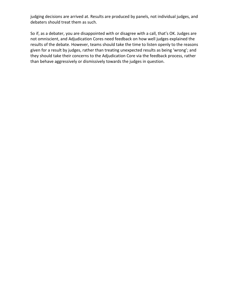judging decisions are arrived at. Results are produced by panels, not individual judges, and debaters should treat them as such.

So if, as a debater, you are disappointed with or disagree with a call, that's OK. Judges are not omniscient, and Adjudication Cores need feedback on how well judges explained the results of the debate. However, teams should take the time to listen openly to the reasons given for a result by judges, rather than treating unexpected results as being 'wrong'; and they should take their concerns to the Adjudication Core via the feedback process, rather than behave aggressively or dismissively towards the judges in question.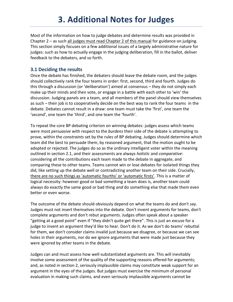# **3. Additional Notes for Judges**

Most of the information on how to judge debates and determine results was provided in Chapter  $2 -$  as such all judges must read Chapter 2 of this manual for guidance on judging. This section simply focuses on a few additional issues of a largely administrative nature for judges: such as how to actually engage in the judging deliberation, fill in the ballot, deliver feedback to the debaters, and so forth.

### **3.1 Deciding the results**

Once the debate has finished, the debaters should leave the debate room, and the judges should collectively rank the four teams in order: first, second, third and fourth. Judges do this through a discussion (or 'deliberation') aimed at consensus – they do not simply each make up their minds and then vote, or engage in a battle with each other to 'win' the discussion. Judging panels are a team, and all members of the panel should view themselves as such – their job is to cooperatively decide on the best way to rank the four teams in the debate. Debates cannot result in a draw: one team must take the 'first', one team the 'second', one team the 'third', and one team the 'fourth'.

To repeat the core BP debating criterion on winning debates: judges assess which teams were most *persuasive* with respect to the *burdens* their side of the debate is attempting to prove, within the *constraints* set by the rules of BP debating. Judges should determine which team did the best to persuade them, by reasoned argument, that the motion ought to be adopted or rejected. The judges do so as the ordinary intelligent voter within the meaning outlined in section 2.1, and their assessments are always *holistic* and *comparative*: considering all the contributions each team made to the debate in aggregate, and comparing these to other teams. Teams cannot win or lose debates for isolated things they did, like setting up the debate well or contradicting another team on their side. Crucially, there are no such things as 'automatic fourths' or 'automatic firsts'. This is a matter of logical necessity: however good or bad something a team does is, another team could always do exactly the same good or bad thing *and* do something else that made them even better or even worse.

The outcome of the debate should obviously depend on what the teams do and don't say. Judges must not insert themselves into the debate. Don't invent arguments for teams, don't complete arguments and don't rebut arguments. Judges often speak about a speaker "getting at a good point" even if "they didn't quite get there". This is just an excuse for a judge to invent an argument they'd like to hear. Don't do it. As we don't do teams' rebuttal for them, we don't consider claims invalid just because we disagree, or because we can see holes in their arguments, nor do we ignore arguments that were made just because they were ignored by other teams in the debate.

Judges can and must assess how well-substantiated arguments are. This will inevitably involve some assessment of the quality of the supporting reasons offered for arguments; and, as noted in section 2, seriously implausible claims may constitute weak support for an argument in the eyes of the judges. But judges must exercise the minimum of personal evaluation in making such claims, and even seriously implausible arguments cannot be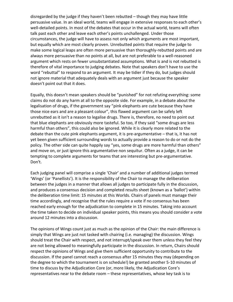disregarded by the judge if they haven't been rebutted – though they may have little persuasive value. In an ideal world, teams will engage in extensive responses to each other's well-detailed points. In most of the debates that occur in the actual world, teams will often talk past each other and leave each other's points unchallenged. Under those circumstances, the judge will have to assess not only which arguments are most important, but equally which are most clearly proven. Unrebutted points that require the judge to make some logical leaps are often more persuasive than thoroughly-rebutted points and are always more persuasive than no points at all, but are not preferable to a well-reasoned argument which rests on fewer unsubstantiated assumptions. What is and is not rebutted is therefore of vital importance to judging debates. Note that speakers don't have to use the word "rebuttal" to respond to an argument. It may be tidier if they do, but judges should not ignore material that adequately deals with an argument just because the speaker doesn't point out that it does.

Equally, this doesn't mean speakers should be "punished" for not refuting everything: some claims do not do any harm at all to the opposite side. For example, in a debate about the legalisation of drugs, if the government say "pink elephants are cute because they have those nice ears and are a pleasant colour", this flawed argument can be safely left unrebutted as it isn't a reason to legalise drugs. There is, therefore, no need to point out that blue elephants are obviously more tasteful. So too, if they said "some drugs are less harmful than others", this could also be ignored. While it is clearly more related to the debate than the cute pink elephants argument, it is pre-argumentative – that is, it has not yet been given sufficient surrounding words to actually provide a reason to do or not do the policy. The other side can quite happily say "yes, some drugs are more harmful than others" and move on, or just ignore this argumentative non sequitur. Often as a judge, it can be tempting to complete arguments for teams that are interesting but pre-argumentative. Don't.

Each judging panel will comprise a single 'Chair' and a number of additional judges termed 'Wings' (or 'Panellists'). It is the responsibility of the Chair to manage the deliberation between the judges in a manner that allows all judges to participate fully in the discussion, and produces a consensus decision and completed results sheet (known as a 'ballot') within the deliberation time limit: 15 minutes at this Worlds. Chairs of panels must manage their time accordingly, and recognise that the rules require a vote if no consensus has been reached early enough for the adjudication to complete in 15 minutes. Taking into account the time taken to decide on individual speaker points, this means you should consider a vote around 12 minutes into a discussion.

The opinions of Wings count just as much as the opinion of the Chair: the main difference is simply that Wings are just not tasked with chairing (i.e. managing) the discussion. Wings should treat the Chair with respect, and not interrupt/speak over them unless they feel they are not being allowed to meaningfully participate in the discussion. In return, Chairs should respect the opinions of Wings and give them sufficient opportunity to contribute to the discussion. If the panel cannot reach a consensus after 15 minutes they may (depending on the degree to which the tournament is on schedule!) be granted another 5-10 minutes of time to discuss by the Adjudication Core (or, more likely, the Adjudication Core's representatives near to the debate room – these representatives, whose key task is to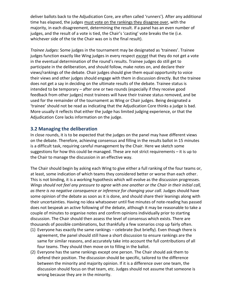deliver ballots back to the Adjudication Core, are often called 'runners'). After any additional time has elapsed, the judges must vote on the rankings they disagree over, with the majority, in each disagreement, determining the result. If a panel has an even number of judges, and the result of a vote is tied, the Chair's 'casting' vote breaks the tie (i.e. whichever side of the tie the Chair was on is the final result).

*Trainee Judges:* Some judges in the tournament may be designated as 'trainees'. Trainee judges function exactly like Wing judges in every respect *except* that they do not get a vote in the eventual determination of the round's results. Trainee judges do still get to participate in the deliberation, and should follow, make notes on, and declare their views/rankings of the debate. Chair judges should give them equal opportunity to voice their views and other judges should engage with them in discussion directly. But the trainee does not get a say in deciding on the ultimate results of the debate. Trainee status is intended to be temporary – after one or two rounds (especially if they receive good feedback from other judges) most trainees will have their trainee status removed, and be used for the remainder of the tournament as Wing or Chair judges. Being designated a 'trainee' should not be read as indicating that the Adjudication Core thinks a judge is bad. More usually it reflects that either the judge has limited judging experience, or that the Adjudication Core lacks information on the judge.

# **3.2 Managing the deliberation**

In close rounds, it is to be expected that the judges on the panel may have different views on the debate. Therefore, achieving consensus and filling in the results ballot in 15 minutes is a difficult task, requiring careful management by the Chair. Here we sketch some suggestions for how this could be managed. These are not strict requirements – it is up to the Chair to manage the discussion in an effective way.

The Chair should begin by asking each Wing to give either a full ranking of the four teams or, at least, some indication of which teams they considered better or worse than each other. This is not binding, it is a working hypothesis which will evolve as the discussion progresses. *Wings should not feel any pressure to agree with one another or the Chair in their initial call, as there is no negative consequence or inference for changing your call.* Judges should have some opinion of the debate as soon as it is done, and should share their leanings along with their uncertainties. Having no idea whatsoever until five minutes of note-reading has passed does not bespeak an active following of the debate, although it may be reasonable to take a couple of minutes to organise notes and confirm opinions individually prior to starting discussion. The Chair should then assess the level of consensus which exists. There are thousands of possible combinations, but thankfully a few scenarios crop up fairly often.

- (1) Everyone has exactly the same rankings celebrate (but briefly). Even though there is agreement, the panel should still have a short discussion to ensure rankings are the same for similar reasons, and accurately take into account the full contributions of all four teams. They should then move on to filling in the ballot.
- (2) Everyone has the same rankings except one person. The Chair should ask them to defend their position. The discussion should be specific, tailored to the difference between the minority and majority opinion. If it is a difference over one team, the discussion should focus on that team, etc. Judges should not assume that someone is wrong because they are in the minority.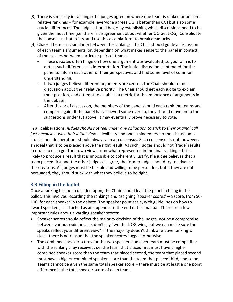- (3) There is similarity in rankings (the judges agree on where one team is ranked or on some relative rankings – for example, everyone agrees OG is better than CG) but also some crucial differences. The judges should begin by establishing which discussions need to be given the most time (i.e. there is disagreement about whether OO beat OG). Consolidate the consensus that exists, and use this as a platform to break deadlocks.
- (4) Chaos. There is no similarity between the rankings. The Chair should guide a discussion of each team's arguments, or, depending on what makes sense to the panel in context, of the clashes between particular pairs of teams.
	- These debates often hinge on how one argument was evaluated, so your aim is to detect such differences in interpretation. The initial discussion is intended for the panel to inform each other of their perspectives and find some level of common understanding.
	- If two judges believe different arguments are central, the Chair should frame a discussion about their relative priority. The Chair should get each judge to explain their position, and attempt to establish a metric for the importance of arguments in the debate.
	- After this brief discussion, the members of the panel should each rank the teams and compare again. If the panel has achieved some overlap, they should move on to the suggestions under (3) above. It may eventually prove necessary to vote.

In all deliberations, *judges should not feel under any obligation to stick to their original call just because it was their initial view* – flexibility and open-mindedness in the discussion is crucial, and deliberations should always aim at consensus. Such consensus is not, however, an ideal that is to be placed above the right result. As such, judges should not 'trade' results in order to each get their own views somewhat represented in the final ranking – this is likely to produce a result that is impossible to coherently justify. If a judge believes that a team placed first and the other judges disagree, the former judge should try to advance their reasons. All judges must be flexible and willing to be persuaded, but if they are not persuaded, they should stick with what they believe to be right.

# **3.3 Filling in the ballot**

Once a ranking has been decided upon, the Chair should lead the panel in filling in the ballot. This involves recording the rankings and assigning 'speaker scores' – a score, from 50- 100, for each speaker in the debate. The speaker point scale, with guidelines on how to award speakers, is attached as an appendix to the end of this manual. There are a few important rules about awarding speaker scores:

- Speaker scores should reflect the majority decision of the judges, not be a compromise between various opinions. i.e. don't say "we think OG wins, but we can make sure the speaks reflect your different view". If the majority doesn't think a relative ranking is close, there is no reason that the speaker scores suggest otherwise.
- The combined speaker scores for the two speakers' on each team must be compatible with the ranking they received. i.e. the team that placed first must have a higher combined speaker score than the team that placed second, the team that placed second must have a higher combined speaker score than the team that placed third, and so on. Teams cannot be given the same total speaker score – there must be at least a one point difference in the total speaker score of each team.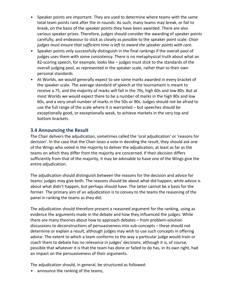- Speaker points are important. They are used to determine where teams with the same total team points rank after the in-rounds. As such, many teams may break, or fail to break, on the basis of the speaker points they have been awarded. There are also various speaker prizes. Therefore, judges should consider the awarding of speaker points carefully, and endeavour to stick as closely as possible to the speaker point scale. *Chair judges must ensure that sufficient time is left to award the speaker points with care.*
- Speaker points only successfully distinguish in the final rankings if the overall pool of judges uses them with some consistency. There is no metaphysical truth about what an 82-scoring speech, for example, looks like – judges must stick to the standards of the overall judging pool, as represented in the speaker scale, rather than to their own personal standards.
- At Worlds, we would generally expect to see some marks awarded in every bracket of the speaker scale. The average standard of speech at the tournament is meant to receive a 75, and the majority of marks will fall in the 70s, high 60s and low 80s. But at most Worlds we would expect there to be a number of marks in the high 80s and low 60s, and a very small number of marks in the 50s or 90s. Judges should not be afraid to use the full range of the scale where it is warranted – but speeches should be exceptionally good, or exceptionally weak, to achieve markets in the very top and bottom brackets.

# **3.4 Announcing the Result**

The Chair delivers the adjudication, sometimes called the 'oral adjudication' or 'reasons for decision'. In the case that the Chair loses a vote in deciding the result, they should ask one of the Wings who voted in the majority to deliver the adjudication, at least as far as the teams on which they differ from the majority are concerned. If their decision differs sufficiently from that of the majority, it may be advisable to have one of the Wings give the entire adjudication.

The adjudication should distinguish between the reasons for the decision and advice for teams: judges may give both. The reasons should be about what did happen; while advice is about what didn't happen, but perhaps should have. The latter cannot be a basis for the former. The primary aim of an adjudication is to convey to the teams the reasoning of the panel in ranking the teams as they did.

The adjudication should therefore present a reasoned argument for the ranking, using as evidence the arguments made in the debate and how they influenced the judges. While there are many theories about how to approach debates – from problem-solution discussions to deconstructions of persuasiveness into sub-concepts – these should not determine or explain a result, although judges may wish to use such concepts in offering advice. The extent to which a team conforms to the way a particular judge would train or coach them to debate has no relevance in judges' decisions; although it is, of course, possible that whatever it is that the team has done or failed to do has, in its own right, had an impact on the persuasiveness of their arguments.

The adjudication should, in general, be structured as followed:

• announce the ranking of the teams,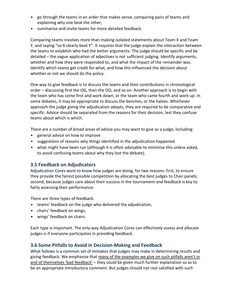- go through the teams in an order that makes sense, comparing pairs of teams and explaining why one beat the other,
- summarise and invite teams for more detailed feedback.

Comparing teams involves more than making isolated statements about Team X and Team Y, and saying "so X clearly beat Y". It requires that the judge explain the interaction between the teams to establish who had the better arguments. The judge should be specific and be detailed – the vague application of adjectives is not sufficient judging. Identify arguments, whether and how they were responded to, and what the impact of the remainder was. Identify which teams get credit for what, and how this influenced the decision about whether or not we should do the policy.

One way to give feedback is to discuss the teams and their contributions in chronological order – discussing first the OG, then the OO, and so on. Another approach is to begin with the team who has come first and work down, or the team who came fourth and work up. In some debates, it may be appropriate to discuss the benches, or the halves. Whichever approach the judge giving the adjudication adopts, they are required to be comparative and specific. Advice should be separated from the reasons for their decision, lest they confuse teams about which is which.

There are a number of broad areas of advice you may want to give as a judge, including:

- general advice on how to improve
- suggestions of reasons why things identified in the adjudication happened
- what might have been run (although it is often advisable to minimise this unless asked, to avoid confusing teams about why they lost the debate).

# **3.5 Feedback on Adjudicators**

Adjudication Cores want to know how judges are doing, for two reasons: first, to ensure they provide the fairest possible competition by allocating the best judges to Chair panels; second, because judges care about their success in the tournament and feedback is key to fairly assessing their performance.

There are three types of feedback:

- teams' feedback on the judge who delivered the adjudication,
- chairs' feedback on wings,
- wings' feedback on chairs.

Each type is important. The only way Adjudication Cores can effectively assess and allocate judges is if everyone participates in providing feedback.

# **3.6 Some Pitfalls to Avoid in Decision-Making and Feedback**

What follows is a common set of mistakes that judges may make in determining results and giving feedback. We emphasise that many of the examples we give on such pitfalls aren't in and of themselves 'bad feedback' - they could be given much further explanation so as to be an appropriate introductory comment. But judges should not rest satisfied with such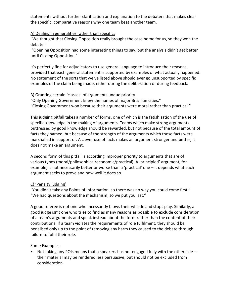statements without further clarification and explanation to the debaters that makes clear the specific, comparative reasons why one team beat another team.

#### A) Dealing in generalities rather than specifics

"We thought that Closing Opposition really brought the case home for us, so they won the debate."

"Opening Opposition had some interesting things to say, but the analysis didn't get better until Closing Opposition."

It's perfectly fine for adjudicators to use general language to introduce their reasons, provided that each general statement is supported by examples of what actually happened. No statement of the sorts that we've listed above should ever go unsupported by specific examples of the claim being made, either during the deliberation or during feedback.

#### B) Granting certain 'classes' of arguments undue priority

"Only Opening Government knew the names of major Brazilian cities." "Closing Government won because their arguments were moral rather than practical."

This judging pitfall takes a number of forms, one of which is the fetishisation of the use of specific knowledge in the making of arguments. Teams which make strong arguments buttressed by good knowledge should be rewarded, but not because of the total amount of facts they named, but because of the strength of the arguments which those facts were marshalled in support of. A clever use of facts makes an argument stronger and better, it does not make an argument.

A second form of this pitfall is according improper priority to arguments that are of various types (moral/philosophical/economic/practical). A 'principled' argument, for example, is not necessarily better or worse than a 'practical' one – it depends what each argument seeks to prove and how well it does so.

#### C) 'Penalty judging'

"You didn't take any Points of Information, so there was no way you could come first." "We had questions about the mechanism, so we put you last."

A good referee is not one who incessantly blows their whistle and stops play. Similarly, a good judge isn't one who tries to find as many reasons as possible to exclude consideration of a team's arguments and speak instead about the form rather than the content of their contributions. If a team violates the requirements of role fulfilment, they should be penalised only up to the point of removing any harm they caused to the debate through failure to fulfil their role.

Some Examples:

• Not taking any POIs means that a speakers has not engaged fully with the other side – their material may be rendered less persuasive, but should not be excluded from consideration.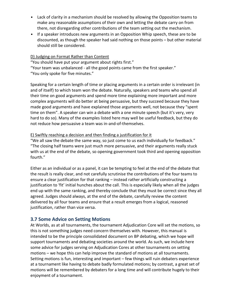- Lack of clarity in a mechanism should be resolved by allowing the Opposition teams to make any reasonable assumptions of their own and letting the debate carry on from there, not disregarding other contributions of the team setting out the mechanism.
- If a speaker introduces new arguments in an Opposition Whip speech, these are to be discounted, as though the speaker had said nothing on those points – but other material should still be considered.

#### D) Judging on Format Rather than Content

"You should have put your argument about rights first."

"Your team was unbalanced - all the good points came from the first speaker."

"You only spoke for five minutes."

Speaking for a certain length of time or placing arguments in a certain order is irrelevant (in and of itself) to which team won the debate. Naturally, speakers and teams who spend all their time on good arguments and spend more time explaining more important and more complex arguments will do better at being persuasive, but they succeed because they have made good arguments and have explained those arguments well, not because they "spent time on them". A speaker can win a debate with a one minute speech (but it's very, very hard to do so). Many of the examples listed here may well be useful feedback, but they do not reduce how persuasive a team was in-and-of-themselves.

#### E) Swiftly reaching a decision and then finding a justification for it

"We all saw the debate the same way, so just come to us each individually for feedback." "The closing half teams were just much more persuasive, and their arguments really stuck with us at the end of the debate, so opening government took third and opening opposition fourth."

Either as an individual or as a panel, it can be tempting to feel at the end of the debate that the result is really clear, and not carefully scrutinise the contributions of the four teams to ensure a clear justification for that ranking – instead rather artificially constructing a justification to 'fit' initial hunches about the call. This is especially likely when all the judges end up with the same ranking, and thereby conclude that they must be correct since they all agreed. Judges should always, at the end of the debate, carefully review the content delivered by all four teams and ensure that a result emerges from a logical, reasoned justification, rather than vice versa.

# **3.7 Some Advice on Setting Motions**

At Worlds, as at all tournaments, the tournament Adjudication Core will set the motions, so this is not something judges need concern themselves with. However, this manual is intended to be the principle consolidated document on BP debating, which we hope will support tournaments and debating societies around the world. As such, we include here some advice for judges serving on Adjudication Cores at other tournaments on setting motions – we hope this can help improve the standard of motions at all tournaments. Setting motions is fun, interesting and important – few things will ruin debaters experience at a tournament like having to debate badly formulated motions; by contrast, a great set of motions will be remembered by debaters for a long time and will contribute hugely to their enjoyment of a tournament.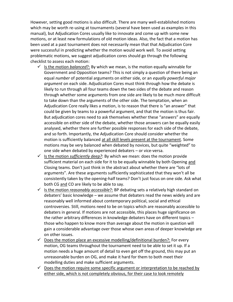However, setting good motions is also difficult. There are many well-established motions which may be worth re-using at tournaments (several have been used as examples in this manual), but Adjudication Cores usually like to innovate and come up with some new motions, or at least new formulations of old motion ideas. Also, the fact that a motion has been used at a past tournament does not necessarily mean that that Adjudication Core were successful in predicting whether the motion would work well. To avoid setting problematic motions, we suggest adjudication cores should go through the following checklist to assess each motion:

- $\checkmark$  Is the motion *balanced*?: By which we mean, is the motion equally winnable for Government and Opposition teams? This is not simply a question of there being an equal *number* of potential arguments on either side, or an *equally powerful major argument* on each side. Adjudication Cores must think through how the debate is likely to run through all four teams down the two sides of the debate and reason through whether some arguments from one side are likely to be much more difficult to take down than the arguments of the other side. The temptation, when an Adjudication Core really likes a motion, is to reason that there is "an answer" that could be given by teams to a powerful argument, and that the motion is thus fair. But adjudication cores need to ask themselves whether these "answers" are equally accessible on either side of the debate, whether those answers can be equally easily analysed, whether there are further possible responses for each side of the debate, and so forth. Importantly, the Adjudication Core should consider whether the motion is sufficiently balanced at all skill levels present at the tournament. Some motions may be very balanced when debated by novices, but quite "weighted" to one side when debated by experienced debaters – or vice-versa.
- $\checkmark$  Is the motion *sufficiently deep?*: By which we mean: does the motion provide sufficient material on each side for it to be equally winnable by both Opening and Closing teams. Don't just think in the abstract about whether there are "lots of arguments". Are these arguments sufficiently sophisticated that they won't all be consistently taken by the opening-half teams? Don't just focus on one side. Ask what both CG and CO are likely to be able to say.
- $\checkmark$  Is the motion *reasonably accessible*?: BP debating sets a relatively high standard on debaters' basic knowledge – we assume that debaters read the news widely and are reasonably well informed about contemporary political, social and ethical controversies. Still, motions need to be on topics which are reasonably accessible to debaters in general. If motions are not accessible, this places huge significance on the rather arbitrary differences in knowledge debaters have on different topics – those who happen to know more than average about the motion in question will gain a considerable advantage over those whose own areas of deeper knowledge are on other issues.
- $\checkmark$  Does the motion place an excessive modelling/definitional burden?: For every motion, OG teams throughout the tournament need to be able to set it up. If a motion needs a huge amount of detail to even get off the ground, this may put an unreasonable burden on OG, and make it hard for them to both meet their modelling duties and make sufficient arguments.
- $\checkmark$  Does the motion require some specific argument or interpretation to be reached by either side, which is not completely obvious, for their case to look remotely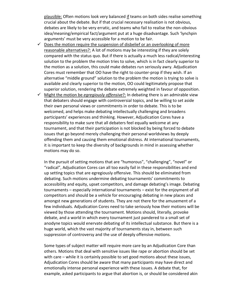plausible: Often motions look very balanced if teams on both sides realise something crucial about the debate. But if that crucial necessary realisation is not obvious, debates are likely to be very erratic, and teams who fail to realise the non-obvious idea/meaning/empirical fact/argument put at a huge disadvantage. Such 'lynchpin arguments' must be very accessible for a motion to be fair.

- $\checkmark$  Does the motion require the suspension of disbelief or an overlooking of more reasonable alternatives?: A lot of motions may be interesting if they are solely compared with the status quo. But if there is actually a much less radical/interesting solution to the problem the motion tries to solve, which is in fact clearly superior to the motion as a solution, this could make debates run seriously awry. Adjudication Cores must remember that OO have the right to counter-prop if they wish. If an alternative "middle ground" solution to the problem the motion is trying to solve is available and clearly superior to the motion, OO could legitimately propose that superior solution, rendering the debate extremely weighted in favour of opposition.
- $\checkmark$  Might the motion be *egregiously offensive*?: In debating there is an admirable view that debaters should engage with controversial topics, and be willing to set aside their own personal views or commitments in order to debate. This is to be welcomed, and helps make debating intellectually challenging and broadens participants' experiences and thinking. However, Adjudication Cores have a responsibility to make sure that all debaters feel equally welcome at any tournament, and that their participation is not blocked by being forced to debate issues that go beyond merely challenging their personal worldviews by deeply offending them and causing them emotional distress. At international tournaments, it is important to keep the diversity of backgrounds in mind in assessing whether motions may do so.

In the pursuit of setting motions that are "humorous", "challenging", "novel" or "radical", Adjudication Cores can all too easily fail in these responsibilities and end up setting topics that are egregiously offensive. This should be eliminated from debating. Such motions undermine debating tournaments' commitments to accessibility and equity, upset competitors, and damage debating's image. Debating tournaments – especially international tournaments – exist for the enjoyment of all competitors and should be a vehicle for encouraging debating in new places and amongst new generations of students. They are not there for the amusement of a few individuals. Adjudication Cores need to take seriously how their motions will be viewed by those attending the tournament. Motions should, literally, provoke debate, and a world in which every tournament just pandered to a small set of anodyne topics would enervate debating of its intellectual substance. But there is a huge world, which the vast majority of tournaments stay in, between such suppression of controversy and the use of deeply offensive motions.

Some types of subject matter will require more care by an Adjudication Core than others. Motions that deal with sensitive issues like rape or abortion should be set with care – while it is certainly possible to set good motions about these issues, Adjudication Cores should be aware that many participants may have direct and emotionally intense personal experience with these issues. A debate that, for example, asked participants to argue that abortion is, or should be considered akin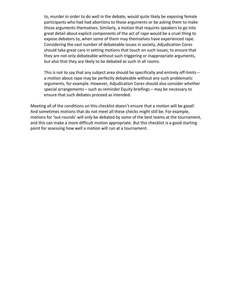to, murder in order to do well in the debate, would quite likely be exposing female participants who had had abortions to those arguments or be asking them to make those arguments themselves. Similarly, a motion that requires speakers to go into great detail about explicit components of the act of rape would be a cruel thing to expose debaters to, when some of them may themselves have experienced rape. Considering the vast number of debateable issues in society, Adjudication Cores should take great care in setting motions that touch on such issues; to ensure that they are not only debateable without such triggering or inappropriate arguments, but also that they are likely to be debated as such in all rooms.

This is not to say that any subject area should be specifically and entirely off-limits – a motion about rape may be perfectly debateable without any such problematic arguments, for example. However, Adjudication Cores should also consider whether special arrangements – such as reminder Equity briefings – may be necessary to ensure that such debates proceed as intended.

Meeting all of the conditions on this checklist doesn't ensure that a motion will be good! And sometimes motions that do not meet all these checks might still be. For example, motions for 'out-rounds' will only be debated by some of the best teams at the tournament, and this can make a more difficult motion appropriate. But this checklist is a good starting point for assessing how well a motion will run at a tournament.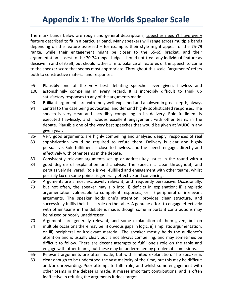# **Appendix 1: The Worlds Speaker Scale**

The mark bands below are rough and general descriptions; speeches needn't have every feature described to fit in a particular band. Many speakers will range across multiple bands depending on the feature assessed – for example, their style might appear of the 75-79 range, while their engagement might be closer to the 65-69 bracket, and their argumentation closest to the 70-74 range. Judges should not treat any individual feature as decisive in and of itself, but should rather aim to balance all features of the speech to come to the speaker score that seems most appropriate. Throughout this scale, 'arguments' refers both to constructive material and responses.

95- 100 Plausibly one of the very best debating speeches ever given, flawless and astonishingly compelling in every regard. It is incredibly difficult to think up satisfactory responses to any of the arguments made. 90- 94 Brilliant arguments are extremely well-explained and analysed in great depth, always central to the case being advocated, and demand highly sophisticated responses. The speech is very clear and incredibly compelling in its delivery. Role fulfilment is executed flawlessly, and includes excellent engagement with other teams in the debate. Plausible one of the very best speeches that would be given at WUDC in any given year. 85- 89 Very good arguments are highly compelling and analysed deeply; responses of real sophistication would be required to refute them. Delivery is clear and highly persuasive. Role fulfilment is close to flawless, and the speech engages directly and effectively with other teams in the debate. 80- 84 Consistently relevant arguments set-up or address key issues in the round with a good degree of explanation and analysis. The speech is clear throughout, and persuasively delivered. Role is well-fulfilled and engagement with other teams, whilst possibly lax on some points, is generally effective and convincing. 75- 79 Arguments are almost exclusively relevant, and frequently persuasive. Occasionally, but not often, the speaker may slip into: i) deficits in explanation; ii) simplistic argumentation vulnerable to competent responses; or iii) peripheral or irrelevant arguments. The speaker holds one's attention, provides clear structure, and successfully fulfils their basic role on the table. A genuine effort to engage effectively with other teams in the debate is made, though some important contributions may be missed or poorly unaddressed. 70- 74 Arguments are generally relevant, and some explanation of them given, but on multiple occasions there may be: i) obvious gaps in logic; ii) simplistic argumentation; or iii) peripheral or irrelevant material. The speaker mostly holds the audience's attention and is usually clear, but is not always compelling, and may sometimes be difficult to follow. There are decent attempts to fulfil one's role on the table and engage with other teams, but these may be undermined by problematic omissions. 65- 69 Relevant arguments are often made, but with limited explanation. The speaker is clear enough to be understood the vast majority of the time, but this may be difficult and/or unrewarding. Poor attempt to fulfil role, and whilst some engagement with other teams in the debate is made, it misses important contributions, and is often ineffective in refuting the arguments it does target.